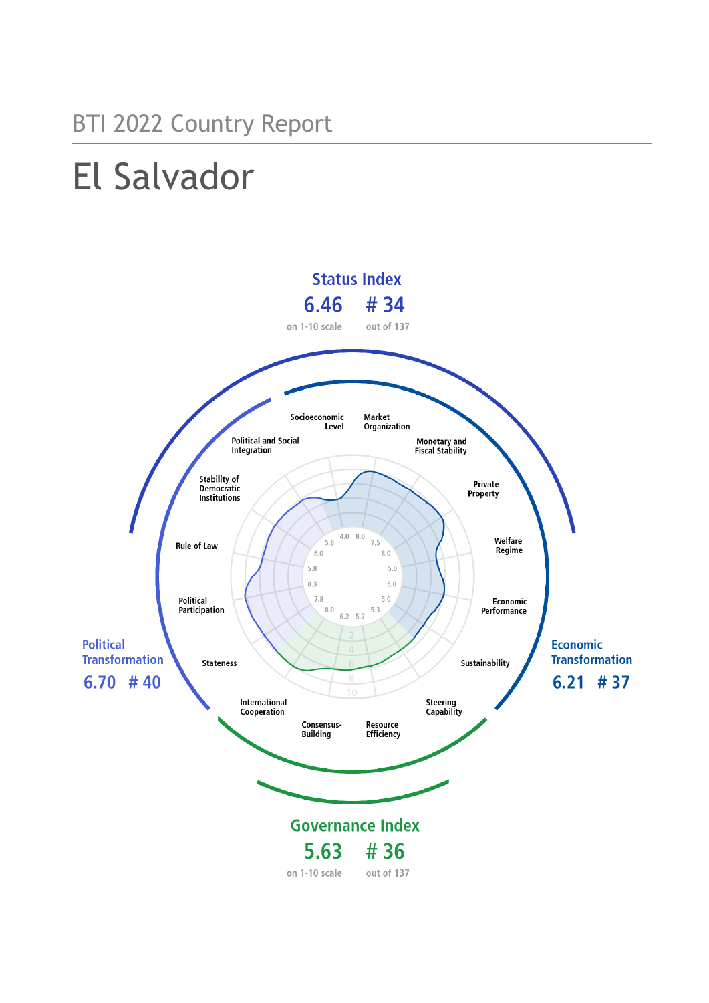# BTI 2022 Country Report

# El Salvador

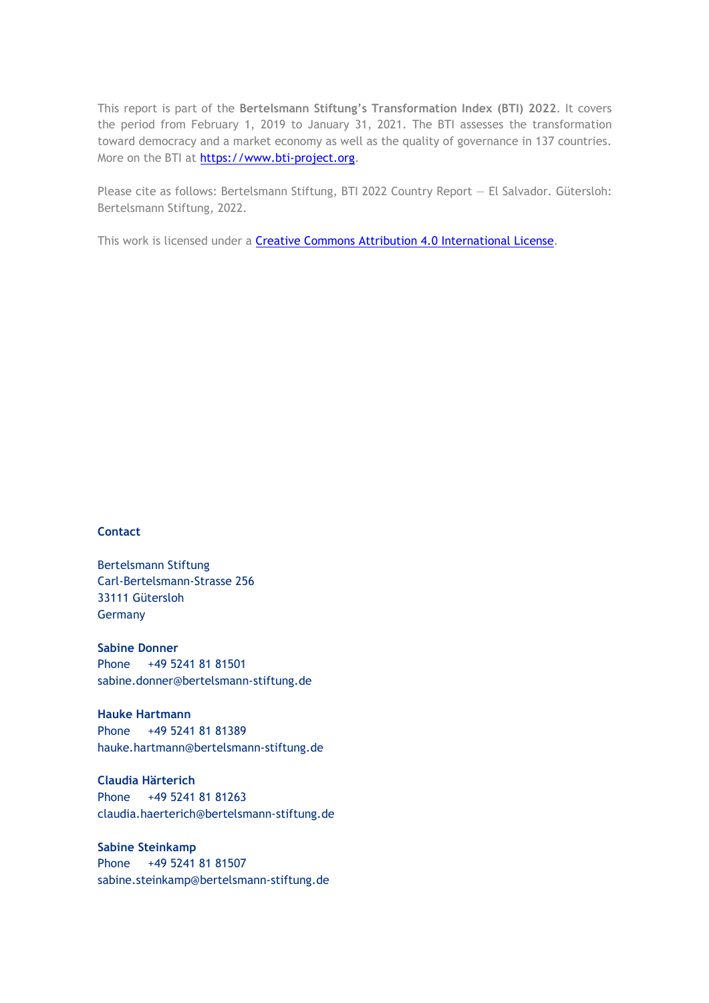This report is part of the **Bertelsmann Stiftung's Transformation Index (BTI) 2022**. It covers the period from February 1, 2019 to January 31, 2021. The BTI assesses the transformation toward democracy and a market economy as well as the quality of governance in 137 countries. More on the BTI at [https://www.bti-project.org.](https://www.bti-project.org/)

Please cite as follows: Bertelsmann Stiftung, BTI 2022 Country Report — El Salvador. Gütersloh: Bertelsmann Stiftung, 2022.

This work is licensed under a **Creative Commons Attribution 4.0 International License**.

#### **Contact**

Bertelsmann Stiftung Carl-Bertelsmann-Strasse 256 33111 Gütersloh Germany

**Sabine Donner** Phone +49 5241 81 81501 sabine.donner@bertelsmann-stiftung.de

**Hauke Hartmann** Phone +49 5241 81 81389 hauke.hartmann@bertelsmann-stiftung.de

**Claudia Härterich** Phone +49 5241 81 81263 claudia.haerterich@bertelsmann-stiftung.de

#### **Sabine Steinkamp** Phone +49 5241 81 81507 sabine.steinkamp@bertelsmann-stiftung.de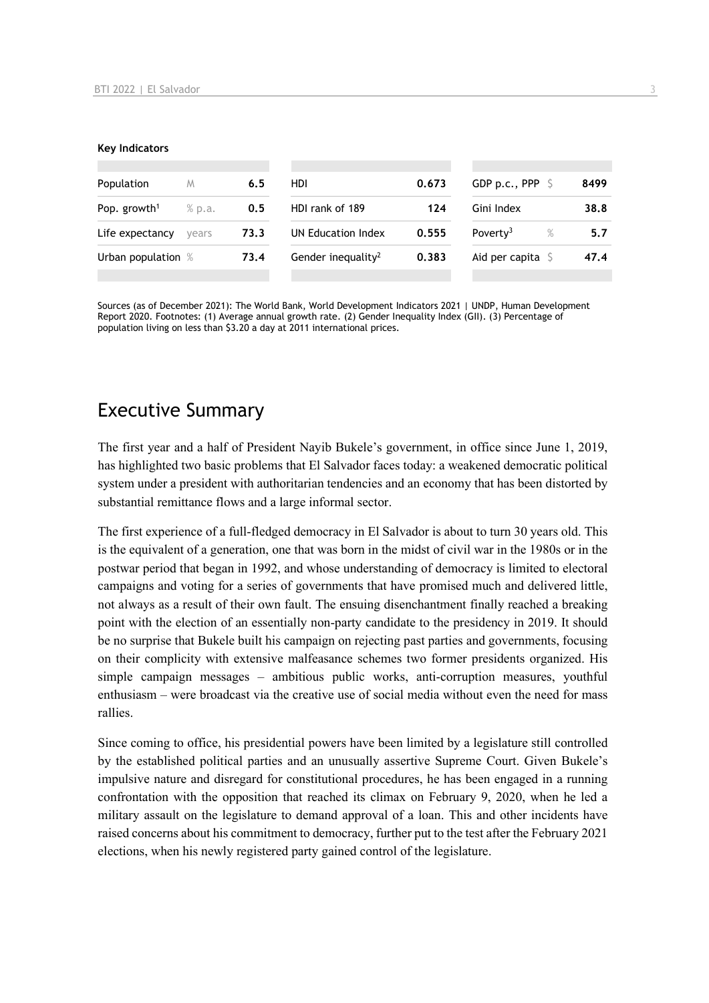#### **Key Indicators**

| Population               | M      | 6.5  | HDI                            | 0.673 | GDP p.c., PPP $\ S$        | 8499 |
|--------------------------|--------|------|--------------------------------|-------|----------------------------|------|
| Pop. growth <sup>1</sup> | % p.a. | 0.5  | HDI rank of 189                | 124   | Gini Index                 | 38.8 |
| Life expectancy          | vears  | 73.3 | UN Education Index             | 0.555 | Poverty <sup>3</sup><br>%  | 5.7  |
| Urban population %       |        | 73.4 | Gender inequality <sup>2</sup> | 0.383 | Aid per capita $\mathsf S$ | 47.4 |
|                          |        |      |                                |       |                            |      |

Sources (as of December 2021): The World Bank, World Development Indicators 2021 | UNDP, Human Development Report 2020. Footnotes: (1) Average annual growth rate. (2) Gender Inequality Index (GII). (3) Percentage of population living on less than \$3.20 a day at 2011 international prices.

## Executive Summary

The first year and a half of President Nayib Bukele's government, in office since June 1, 2019, has highlighted two basic problems that El Salvador faces today: a weakened democratic political system under a president with authoritarian tendencies and an economy that has been distorted by substantial remittance flows and a large informal sector.

The first experience of a full-fledged democracy in El Salvador is about to turn 30 years old. This is the equivalent of a generation, one that was born in the midst of civil war in the 1980s or in the postwar period that began in 1992, and whose understanding of democracy is limited to electoral campaigns and voting for a series of governments that have promised much and delivered little, not always as a result of their own fault. The ensuing disenchantment finally reached a breaking point with the election of an essentially non-party candidate to the presidency in 2019. It should be no surprise that Bukele built his campaign on rejecting past parties and governments, focusing on their complicity with extensive malfeasance schemes two former presidents organized. His simple campaign messages – ambitious public works, anti-corruption measures, youthful enthusiasm – were broadcast via the creative use of social media without even the need for mass rallies.

Since coming to office, his presidential powers have been limited by a legislature still controlled by the established political parties and an unusually assertive Supreme Court. Given Bukele's impulsive nature and disregard for constitutional procedures, he has been engaged in a running confrontation with the opposition that reached its climax on February 9, 2020, when he led a military assault on the legislature to demand approval of a loan. This and other incidents have raised concerns about his commitment to democracy, further put to the test after the February 2021 elections, when his newly registered party gained control of the legislature.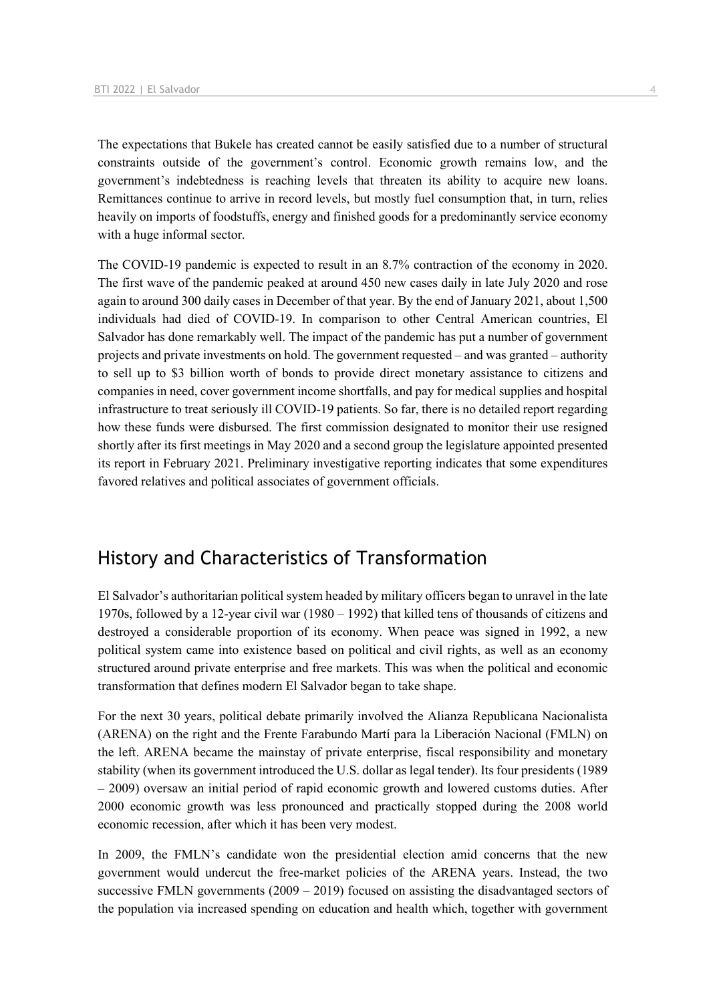The expectations that Bukele has created cannot be easily satisfied due to a number of structural constraints outside of the government's control. Economic growth remains low, and the government's indebtedness is reaching levels that threaten its ability to acquire new loans. Remittances continue to arrive in record levels, but mostly fuel consumption that, in turn, relies heavily on imports of foodstuffs, energy and finished goods for a predominantly service economy with a huge informal sector.

The COVID-19 pandemic is expected to result in an 8.7% contraction of the economy in 2020. The first wave of the pandemic peaked at around 450 new cases daily in late July 2020 and rose again to around 300 daily cases in December of that year. By the end of January 2021, about 1,500 individuals had died of COVID-19. In comparison to other Central American countries, El Salvador has done remarkably well. The impact of the pandemic has put a number of government projects and private investments on hold. The government requested – and was granted – authority to sell up to \$3 billion worth of bonds to provide direct monetary assistance to citizens and companies in need, cover government income shortfalls, and pay for medical supplies and hospital infrastructure to treat seriously ill COVID-19 patients. So far, there is no detailed report regarding how these funds were disbursed. The first commission designated to monitor their use resigned shortly after its first meetings in May 2020 and a second group the legislature appointed presented its report in February 2021. Preliminary investigative reporting indicates that some expenditures favored relatives and political associates of government officials.

## History and Characteristics of Transformation

El Salvador's authoritarian political system headed by military officers began to unravel in the late 1970s, followed by a 12-year civil war (1980 – 1992) that killed tens of thousands of citizens and destroyed a considerable proportion of its economy. When peace was signed in 1992, a new political system came into existence based on political and civil rights, as well as an economy structured around private enterprise and free markets. This was when the political and economic transformation that defines modern El Salvador began to take shape.

For the next 30 years, political debate primarily involved the Alianza Republicana Nacionalista (ARENA) on the right and the Frente Farabundo Martí para la Liberación Nacional (FMLN) on the left. ARENA became the mainstay of private enterprise, fiscal responsibility and monetary stability (when its government introduced the U.S. dollar as legal tender). Its four presidents (1989 – 2009) oversaw an initial period of rapid economic growth and lowered customs duties. After 2000 economic growth was less pronounced and practically stopped during the 2008 world economic recession, after which it has been very modest.

In 2009, the FMLN's candidate won the presidential election amid concerns that the new government would undercut the free-market policies of the ARENA years. Instead, the two successive FMLN governments  $(2009 - 2019)$  focused on assisting the disadvantaged sectors of the population via increased spending on education and health which, together with government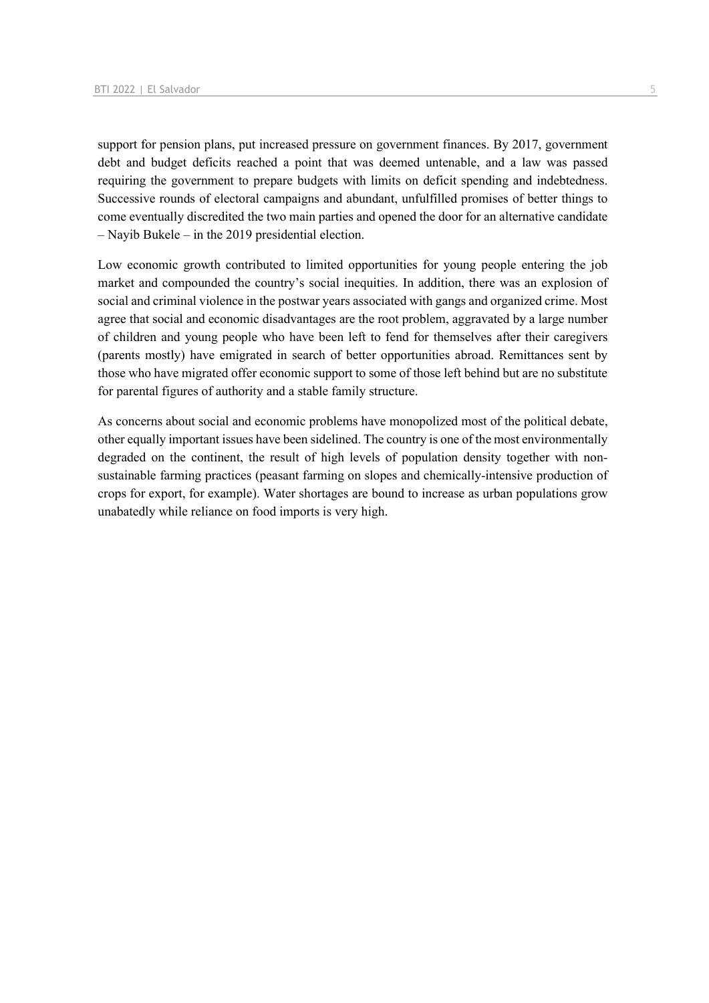support for pension plans, put increased pressure on government finances. By 2017, government debt and budget deficits reached a point that was deemed untenable, and a law was passed requiring the government to prepare budgets with limits on deficit spending and indebtedness. Successive rounds of electoral campaigns and abundant, unfulfilled promises of better things to come eventually discredited the two main parties and opened the door for an alternative candidate – Nayib Bukele – in the 2019 presidential election.

Low economic growth contributed to limited opportunities for young people entering the job market and compounded the country's social inequities. In addition, there was an explosion of social and criminal violence in the postwar years associated with gangs and organized crime. Most agree that social and economic disadvantages are the root problem, aggravated by a large number of children and young people who have been left to fend for themselves after their caregivers (parents mostly) have emigrated in search of better opportunities abroad. Remittances sent by those who have migrated offer economic support to some of those left behind but are no substitute for parental figures of authority and a stable family structure.

As concerns about social and economic problems have monopolized most of the political debate, other equally important issues have been sidelined. The country is one of the most environmentally degraded on the continent, the result of high levels of population density together with nonsustainable farming practices (peasant farming on slopes and chemically-intensive production of crops for export, for example). Water shortages are bound to increase as urban populations grow unabatedly while reliance on food imports is very high.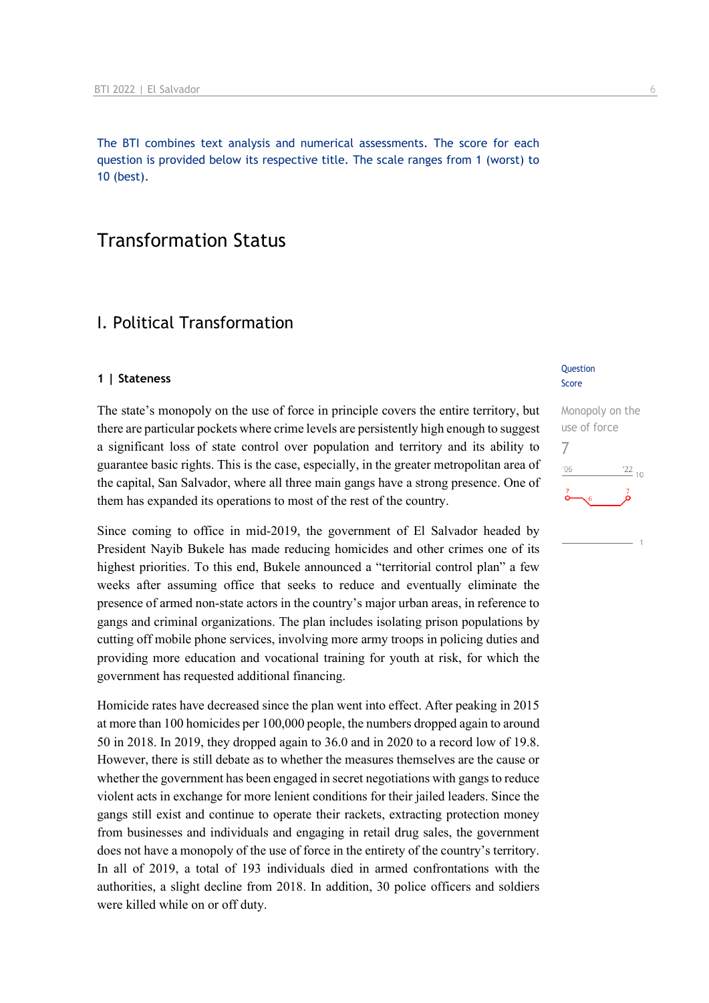The BTI combines text analysis and numerical assessments. The score for each question is provided below its respective title. The scale ranges from 1 (worst) to 10 (best).

## Transformation Status

## I. Political Transformation

#### **1 | Stateness**

The state's monopoly on the use of force in principle covers the entire territory, but there are particular pockets where crime levels are persistently high enough to suggest a significant loss of state control over population and territory and its ability to guarantee basic rights. This is the case, especially, in the greater metropolitan area of the capital, San Salvador, where all three main gangs have a strong presence. One of them has expanded its operations to most of the rest of the country.

Since coming to office in mid-2019, the government of El Salvador headed by President Nayib Bukele has made reducing homicides and other crimes one of its highest priorities. To this end, Bukele announced a "territorial control plan" a few weeks after assuming office that seeks to reduce and eventually eliminate the presence of armed non-state actors in the country's major urban areas, in reference to gangs and criminal organizations. The plan includes isolating prison populations by cutting off mobile phone services, involving more army troops in policing duties and providing more education and vocational training for youth at risk, for which the government has requested additional financing.

Homicide rates have decreased since the plan went into effect. After peaking in 2015 at more than 100 homicides per 100,000 people, the numbers dropped again to around 50 in 2018. In 2019, they dropped again to 36.0 and in 2020 to a record low of 19.8. However, there is still debate as to whether the measures themselves are the cause or whether the government has been engaged in secret negotiations with gangs to reduce violent acts in exchange for more lenient conditions for their jailed leaders. Since the gangs still exist and continue to operate their rackets, extracting protection money from businesses and individuals and engaging in retail drug sales, the government does not have a monopoly of the use of force in the entirety of the country's territory. In all of 2019, a total of 193 individuals died in armed confrontations with the authorities, a slight decline from 2018. In addition, 30 police officers and soldiers were killed while on or off duty.

#### **Question** Score

Monopoly on the use of force 7 $\frac{22}{10}$  $106$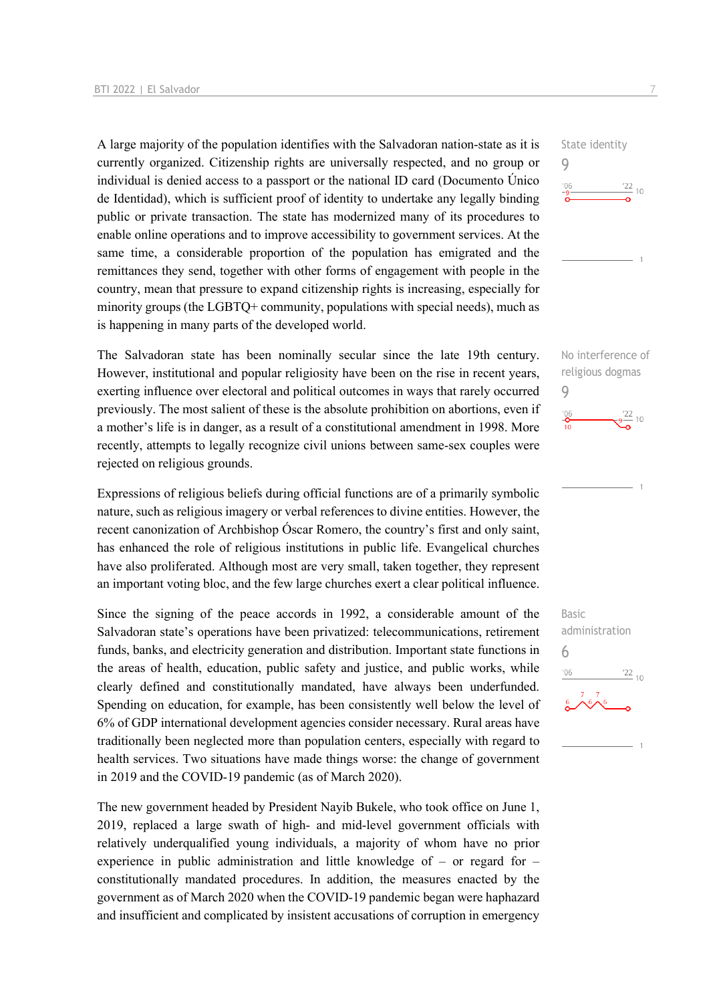A large majority of the population identifies with the Salvadoran nation-state as it is currently organized. Citizenship rights are universally respected, and no group or individual is denied access to a passport or the national ID card (Documento Único de Identidad), which is sufficient proof of identity to undertake any legally binding public or private transaction. The state has modernized many of its procedures to enable online operations and to improve accessibility to government services. At the same time, a considerable proportion of the population has emigrated and the remittances they send, together with other forms of engagement with people in the country, mean that pressure to expand citizenship rights is increasing, especially for minority groups (the LGBTQ+ community, populations with special needs), much as is happening in many parts of the developed world.

The Salvadoran state has been nominally secular since the late 19th century. However, institutional and popular religiosity have been on the rise in recent years, exerting influence over electoral and political outcomes in ways that rarely occurred previously. The most salient of these is the absolute prohibition on abortions, even if a mother's life is in danger, as a result of a constitutional amendment in 1998. More recently, attempts to legally recognize civil unions between same-sex couples were rejected on religious grounds.

Expressions of religious beliefs during official functions are of a primarily symbolic nature, such as religious imagery or verbal references to divine entities. However, the recent canonization of Archbishop Óscar Romero, the country's first and only saint, has enhanced the role of religious institutions in public life. Evangelical churches have also proliferated. Although most are very small, taken together, they represent an important voting bloc, and the few large churches exert a clear political influence.

Since the signing of the peace accords in 1992, a considerable amount of the Salvadoran state's operations have been privatized: telecommunications, retirement funds, banks, and electricity generation and distribution. Important state functions in the areas of health, education, public safety and justice, and public works, while clearly defined and constitutionally mandated, have always been underfunded. Spending on education, for example, has been consistently well below the level of 6% of GDP international development agencies consider necessary. Rural areas have traditionally been neglected more than population centers, especially with regard to health services. Two situations have made things worse: the change of government in 2019 and the COVID-19 pandemic (as of March 2020).

The new government headed by President Nayib Bukele, who took office on June 1, 2019, replaced a large swath of high- and mid-level government officials with relatively underqualified young individuals, a majority of whom have no prior experience in public administration and little knowledge of – or regard for – constitutionally mandated procedures. In addition, the measures enacted by the government as of March 2020 when the COVID-19 pandemic began were haphazard and insufficient and complicated by insistent accusations of corruption in emergency





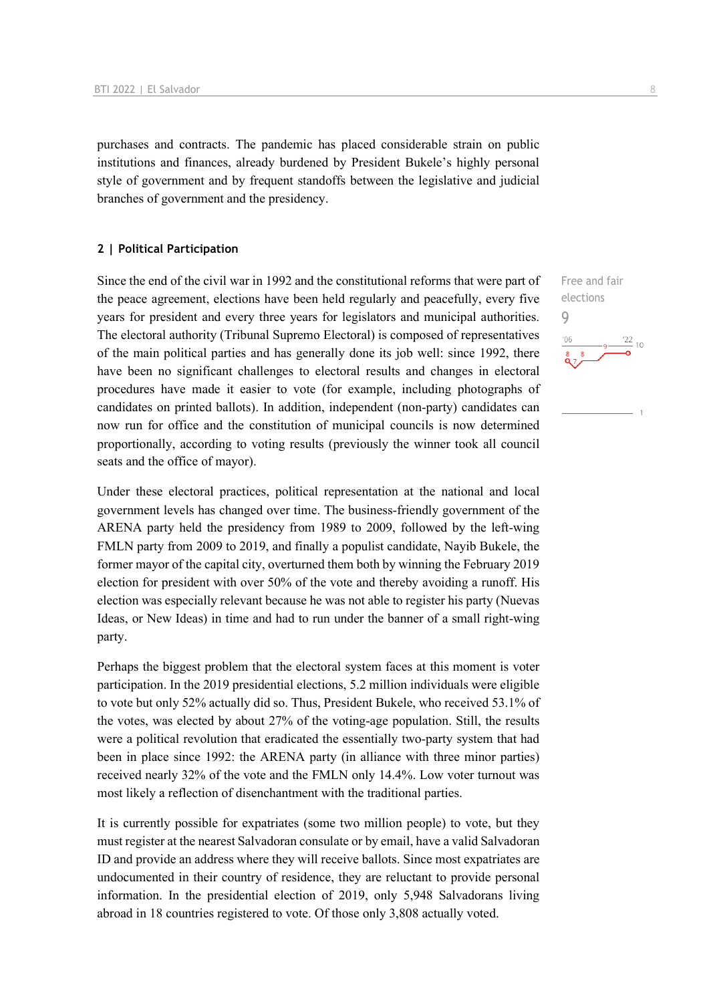purchases and contracts. The pandemic has placed considerable strain on public institutions and finances, already burdened by President Bukele's highly personal style of government and by frequent standoffs between the legislative and judicial branches of government and the presidency.

#### **2 | Political Participation**

Since the end of the civil war in 1992 and the constitutional reforms that were part of the peace agreement, elections have been held regularly and peacefully, every five years for president and every three years for legislators and municipal authorities. The electoral authority (Tribunal Supremo Electoral) is composed of representatives of the main political parties and has generally done its job well: since 1992, there have been no significant challenges to electoral results and changes in electoral procedures have made it easier to vote (for example, including photographs of candidates on printed ballots). In addition, independent (non-party) candidates can now run for office and the constitution of municipal councils is now determined proportionally, according to voting results (previously the winner took all council seats and the office of mayor).

Under these electoral practices, political representation at the national and local government levels has changed over time. The business-friendly government of the ARENA party held the presidency from 1989 to 2009, followed by the left-wing FMLN party from 2009 to 2019, and finally a populist candidate, Nayib Bukele, the former mayor of the capital city, overturned them both by winning the February 2019 election for president with over 50% of the vote and thereby avoiding a runoff. His election was especially relevant because he was not able to register his party (Nuevas Ideas, or New Ideas) in time and had to run under the banner of a small right-wing party.

Perhaps the biggest problem that the electoral system faces at this moment is voter participation. In the 2019 presidential elections, 5.2 million individuals were eligible to vote but only 52% actually did so. Thus, President Bukele, who received 53.1% of the votes, was elected by about 27% of the voting-age population. Still, the results were a political revolution that eradicated the essentially two-party system that had been in place since 1992: the ARENA party (in alliance with three minor parties) received nearly 32% of the vote and the FMLN only 14.4%. Low voter turnout was most likely a reflection of disenchantment with the traditional parties.

It is currently possible for expatriates (some two million people) to vote, but they must register at the nearest Salvadoran consulate or by email, have a valid Salvadoran ID and provide an address where they will receive ballots. Since most expatriates are undocumented in their country of residence, they are reluctant to provide personal information. In the presidential election of 2019, only 5,948 Salvadorans living abroad in 18 countries registered to vote. Of those only 3,808 actually voted.

Free and fair elections 9 $\frac{22}{10}$  $-06$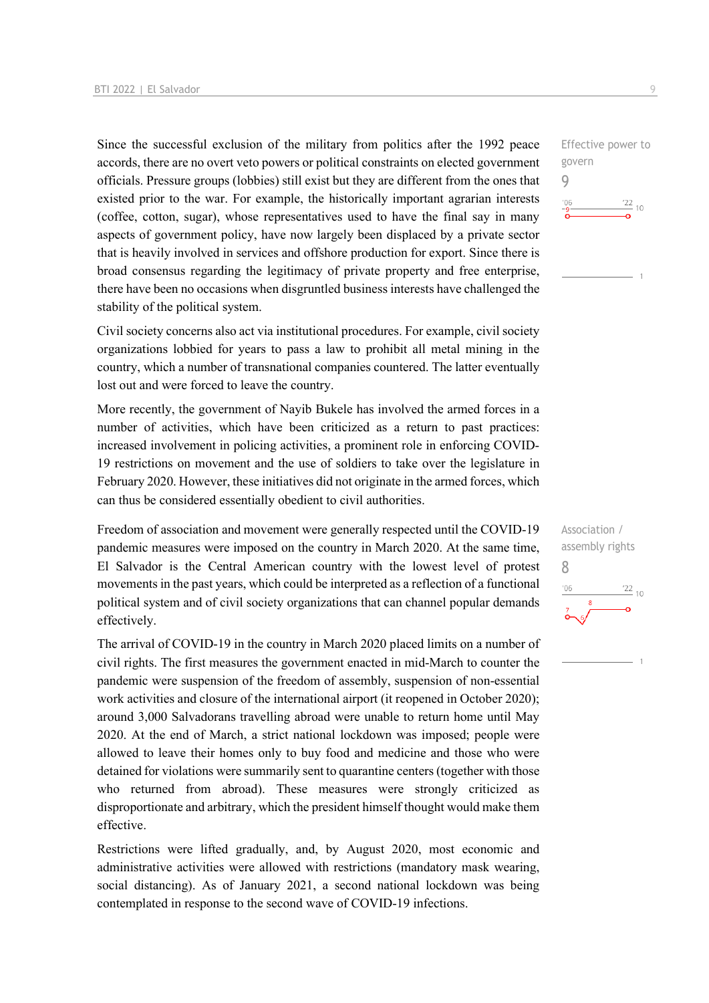Since the successful exclusion of the military from politics after the 1992 peace accords, there are no overt veto powers or political constraints on elected government officials. Pressure groups (lobbies) still exist but they are different from the ones that existed prior to the war. For example, the historically important agrarian interests (coffee, cotton, sugar), whose representatives used to have the final say in many aspects of government policy, have now largely been displaced by a private sector that is heavily involved in services and offshore production for export. Since there is broad consensus regarding the legitimacy of private property and free enterprise, there have been no occasions when disgruntled business interests have challenged the stability of the political system.

Civil society concerns also act via institutional procedures. For example, civil society organizations lobbied for years to pass a law to prohibit all metal mining in the country, which a number of transnational companies countered. The latter eventually lost out and were forced to leave the country.

More recently, the government of Nayib Bukele has involved the armed forces in a number of activities, which have been criticized as a return to past practices: increased involvement in policing activities, a prominent role in enforcing COVID-19 restrictions on movement and the use of soldiers to take over the legislature in February 2020. However, these initiatives did not originate in the armed forces, which can thus be considered essentially obedient to civil authorities.

Freedom of association and movement were generally respected until the COVID-19 pandemic measures were imposed on the country in March 2020. At the same time, El Salvador is the Central American country with the lowest level of protest movements in the past years, which could be interpreted as a reflection of a functional political system and of civil society organizations that can channel popular demands effectively.

The arrival of COVID-19 in the country in March 2020 placed limits on a number of civil rights. The first measures the government enacted in mid-March to counter the pandemic were suspension of the freedom of assembly, suspension of non-essential work activities and closure of the international airport (it reopened in October 2020); around 3,000 Salvadorans travelling abroad were unable to return home until May 2020. At the end of March, a strict national lockdown was imposed; people were allowed to leave their homes only to buy food and medicine and those who were detained for violations were summarily sent to quarantine centers (together with those who returned from abroad). These measures were strongly criticized as disproportionate and arbitrary, which the president himself thought would make them effective.

Restrictions were lifted gradually, and, by August 2020, most economic and administrative activities were allowed with restrictions (mandatory mask wearing, social distancing). As of January 2021, a second national lockdown was being contemplated in response to the second wave of COVID-19 infections.

Effective power to govern 9  $-06$  $\frac{22}{10}$ 

Association / assembly rights 8 $\frac{22}{10}$  $^{\prime}06$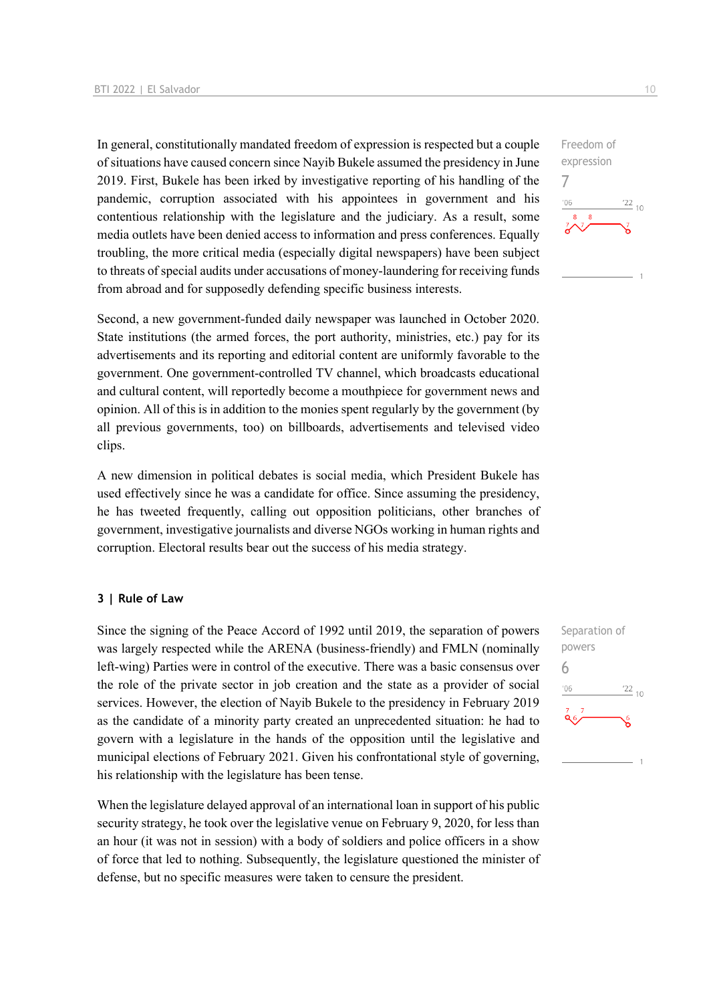In general, constitutionally mandated freedom of expression is respected but a couple of situations have caused concern since Nayib Bukele assumed the presidency in June 2019. First, Bukele has been irked by investigative reporting of his handling of the pandemic, corruption associated with his appointees in government and his contentious relationship with the legislature and the judiciary. As a result, some media outlets have been denied access to information and press conferences. Equally troubling, the more critical media (especially digital newspapers) have been subject to threats of special audits under accusations of money-laundering for receiving funds from abroad and for supposedly defending specific business interests.

Second, a new government-funded daily newspaper was launched in October 2020. State institutions (the armed forces, the port authority, ministries, etc.) pay for its advertisements and its reporting and editorial content are uniformly favorable to the government. One government-controlled TV channel, which broadcasts educational and cultural content, will reportedly become a mouthpiece for government news and opinion. All of this is in addition to the monies spent regularly by the government (by all previous governments, too) on billboards, advertisements and televised video clips.

A new dimension in political debates is social media, which President Bukele has used effectively since he was a candidate for office. Since assuming the presidency, he has tweeted frequently, calling out opposition politicians, other branches of government, investigative journalists and diverse NGOs working in human rights and corruption. Electoral results bear out the success of his media strategy.

#### **3 | Rule of Law**

Since the signing of the Peace Accord of 1992 until 2019, the separation of powers was largely respected while the ARENA (business-friendly) and FMLN (nominally left-wing) Parties were in control of the executive. There was a basic consensus over the role of the private sector in job creation and the state as a provider of social services. However, the election of Nayib Bukele to the presidency in February 2019 as the candidate of a minority party created an unprecedented situation: he had to govern with a legislature in the hands of the opposition until the legislative and municipal elections of February 2021. Given his confrontational style of governing, his relationship with the legislature has been tense.

When the legislature delayed approval of an international loan in support of his public security strategy, he took over the legislative venue on February 9, 2020, for less than an hour (it was not in session) with a body of soldiers and police officers in a show of force that led to nothing. Subsequently, the legislature questioned the minister of defense, but no specific measures were taken to censure the president.



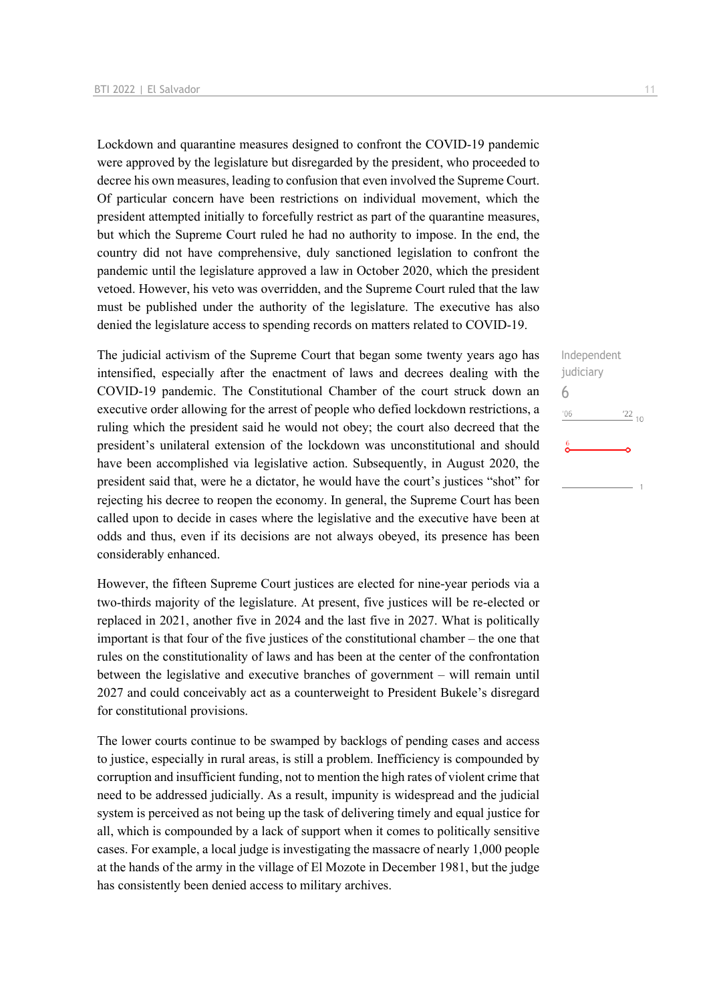Lockdown and quarantine measures designed to confront the COVID-19 pandemic were approved by the legislature but disregarded by the president, who proceeded to decree his own measures, leading to confusion that even involved the Supreme Court. Of particular concern have been restrictions on individual movement, which the president attempted initially to forcefully restrict as part of the quarantine measures, but which the Supreme Court ruled he had no authority to impose. In the end, the country did not have comprehensive, duly sanctioned legislation to confront the pandemic until the legislature approved a law in October 2020, which the president vetoed. However, his veto was overridden, and the Supreme Court ruled that the law must be published under the authority of the legislature. The executive has also denied the legislature access to spending records on matters related to COVID-19.

The judicial activism of the Supreme Court that began some twenty years ago has intensified, especially after the enactment of laws and decrees dealing with the COVID-19 pandemic. The Constitutional Chamber of the court struck down an executive order allowing for the arrest of people who defied lockdown restrictions, a ruling which the president said he would not obey; the court also decreed that the president's unilateral extension of the lockdown was unconstitutional and should have been accomplished via legislative action. Subsequently, in August 2020, the president said that, were he a dictator, he would have the court's justices "shot" for rejecting his decree to reopen the economy. In general, the Supreme Court has been called upon to decide in cases where the legislative and the executive have been at odds and thus, even if its decisions are not always obeyed, its presence has been considerably enhanced.

However, the fifteen Supreme Court justices are elected for nine-year periods via a two-thirds majority of the legislature. At present, five justices will be re-elected or replaced in 2021, another five in 2024 and the last five in 2027. What is politically important is that four of the five justices of the constitutional chamber – the one that rules on the constitutionality of laws and has been at the center of the confrontation between the legislative and executive branches of government – will remain until 2027 and could conceivably act as a counterweight to President Bukele's disregard for constitutional provisions.

The lower courts continue to be swamped by backlogs of pending cases and access to justice, especially in rural areas, is still a problem. Inefficiency is compounded by corruption and insufficient funding, not to mention the high rates of violent crime that need to be addressed judicially. As a result, impunity is widespread and the judicial system is perceived as not being up the task of delivering timely and equal justice for all, which is compounded by a lack of support when it comes to politically sensitive cases. For example, a local judge is investigating the massacre of nearly 1,000 people at the hands of the army in the village of El Mozote in December 1981, but the judge has consistently been denied access to military archives.

Independent judiciary

 $'22_{10}$ 

6 $^{\prime}06$ 

 $\frac{6}{2}$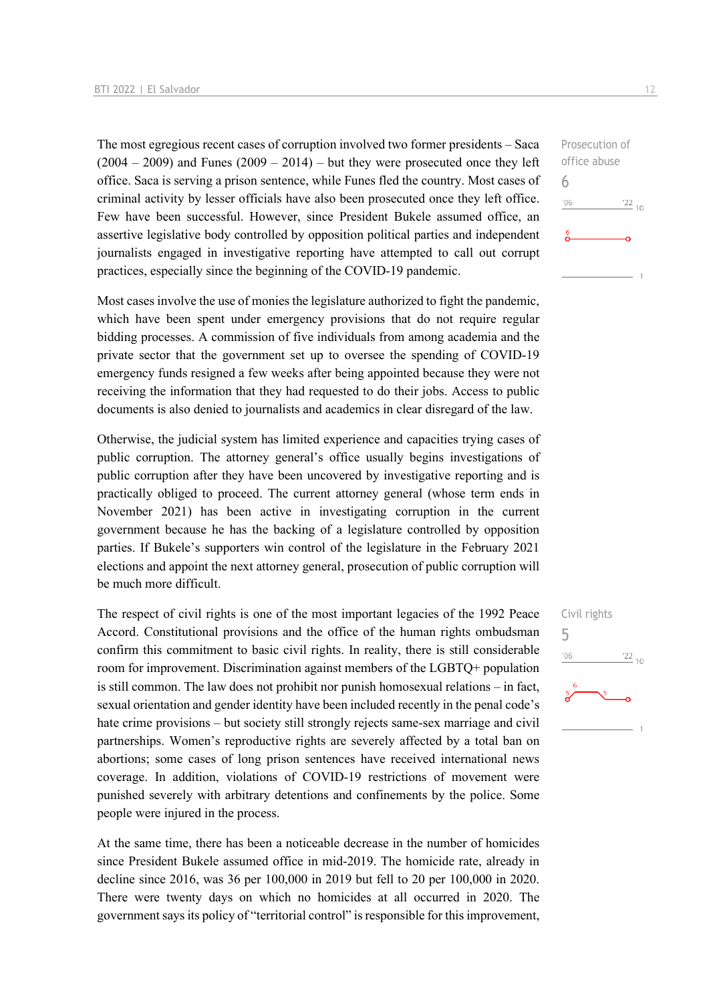The most egregious recent cases of corruption involved two former presidents – Saca  $(2004 - 2009)$  and Funes  $(2009 - 2014)$  – but they were prosecuted once they left office. Saca is serving a prison sentence, while Funes fled the country. Most cases of criminal activity by lesser officials have also been prosecuted once they left office. Few have been successful. However, since President Bukele assumed office, an assertive legislative body controlled by opposition political parties and independent journalists engaged in investigative reporting have attempted to call out corrupt practices, especially since the beginning of the COVID-19 pandemic.

Most cases involve the use of monies the legislature authorized to fight the pandemic, which have been spent under emergency provisions that do not require regular bidding processes. A commission of five individuals from among academia and the private sector that the government set up to oversee the spending of COVID-19 emergency funds resigned a few weeks after being appointed because they were not receiving the information that they had requested to do their jobs. Access to public documents is also denied to journalists and academics in clear disregard of the law.

Otherwise, the judicial system has limited experience and capacities trying cases of public corruption. The attorney general's office usually begins investigations of public corruption after they have been uncovered by investigative reporting and is practically obliged to proceed. The current attorney general (whose term ends in November 2021) has been active in investigating corruption in the current government because he has the backing of a legislature controlled by opposition parties. If Bukele's supporters win control of the legislature in the February 2021 elections and appoint the next attorney general, prosecution of public corruption will be much more difficult.

The respect of civil rights is one of the most important legacies of the 1992 Peace Accord. Constitutional provisions and the office of the human rights ombudsman confirm this commitment to basic civil rights. In reality, there is still considerable room for improvement. Discrimination against members of the LGBTQ+ population is still common. The law does not prohibit nor punish homosexual relations – in fact, sexual orientation and gender identity have been included recently in the penal code's hate crime provisions – but society still strongly rejects same-sex marriage and civil partnerships. Women's reproductive rights are severely affected by a total ban on abortions; some cases of long prison sentences have received international news coverage. In addition, violations of COVID-19 restrictions of movement were punished severely with arbitrary detentions and confinements by the police. Some people were injured in the process.

At the same time, there has been a noticeable decrease in the number of homicides since President Bukele assumed office in mid-2019. The homicide rate, already in decline since 2016, was 36 per 100,000 in 2019 but fell to 20 per 100,000 in 2020. There were twenty days on which no homicides at all occurred in 2020. The government says its policy of "territorial control" is responsible for this improvement,

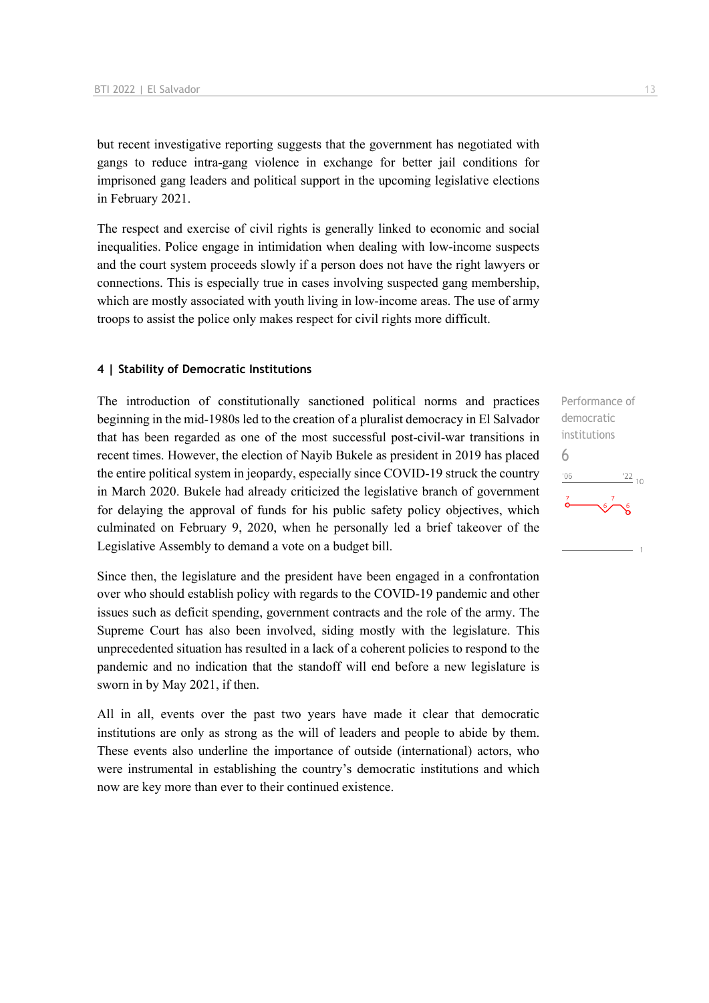but recent investigative reporting suggests that the government has negotiated with gangs to reduce intra-gang violence in exchange for better jail conditions for imprisoned gang leaders and political support in the upcoming legislative elections in February 2021.

The respect and exercise of civil rights is generally linked to economic and social inequalities. Police engage in intimidation when dealing with low-income suspects and the court system proceeds slowly if a person does not have the right lawyers or connections. This is especially true in cases involving suspected gang membership, which are mostly associated with youth living in low-income areas. The use of army troops to assist the police only makes respect for civil rights more difficult.

#### **4 | Stability of Democratic Institutions**

The introduction of constitutionally sanctioned political norms and practices beginning in the mid-1980s led to the creation of a pluralist democracy in El Salvador that has been regarded as one of the most successful post-civil-war transitions in recent times. However, the election of Nayib Bukele as president in 2019 has placed the entire political system in jeopardy, especially since COVID-19 struck the country in March 2020. Bukele had already criticized the legislative branch of government for delaying the approval of funds for his public safety policy objectives, which culminated on February 9, 2020, when he personally led a brief takeover of the Legislative Assembly to demand a vote on a budget bill.

Since then, the legislature and the president have been engaged in a confrontation over who should establish policy with regards to the COVID-19 pandemic and other issues such as deficit spending, government contracts and the role of the army. The Supreme Court has also been involved, siding mostly with the legislature. This unprecedented situation has resulted in a lack of a coherent policies to respond to the pandemic and no indication that the standoff will end before a new legislature is sworn in by May 2021, if then.

All in all, events over the past two years have made it clear that democratic institutions are only as strong as the will of leaders and people to abide by them. These events also underline the importance of outside (international) actors, who were instrumental in establishing the country's democratic institutions and which now are key more than ever to their continued existence.

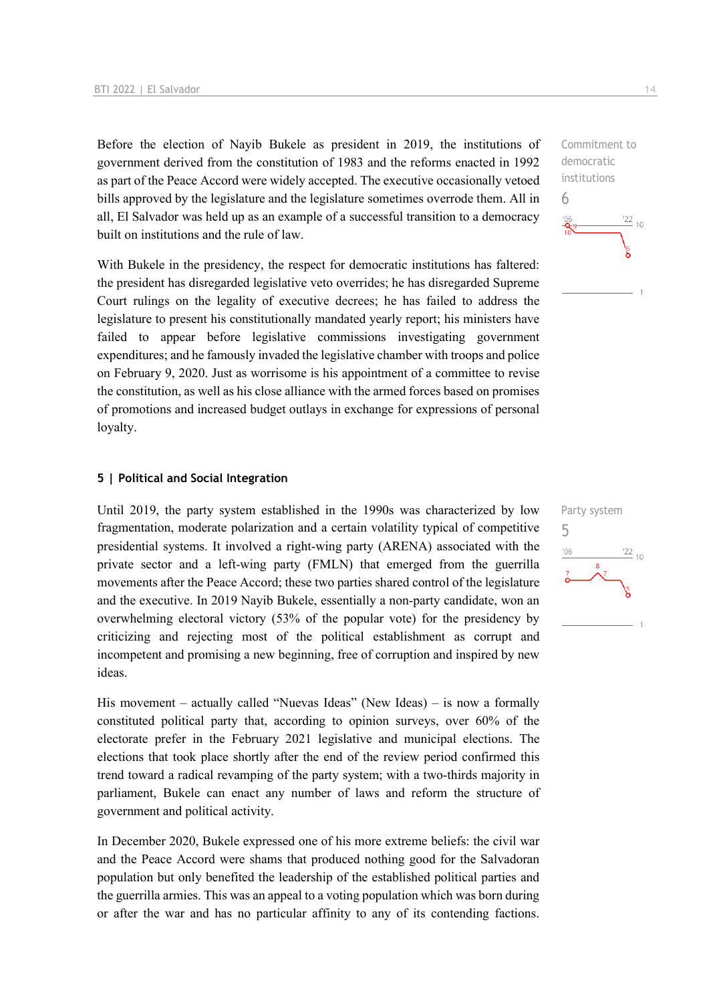Before the election of Nayib Bukele as president in 2019, the institutions of government derived from the constitution of 1983 and the reforms enacted in 1992 as part of the Peace Accord were widely accepted. The executive occasionally vetoed bills approved by the legislature and the legislature sometimes overrode them. All in all, El Salvador was held up as an example of a successful transition to a democracy built on institutions and the rule of law.

With Bukele in the presidency, the respect for democratic institutions has faltered: the president has disregarded legislative veto overrides; he has disregarded Supreme Court rulings on the legality of executive decrees; he has failed to address the legislature to present his constitutionally mandated yearly report; his ministers have failed to appear before legislative commissions investigating government expenditures; and he famously invaded the legislative chamber with troops and police on February 9, 2020. Just as worrisome is his appointment of a committee to revise the constitution, as well as his close alliance with the armed forces based on promises of promotions and increased budget outlays in exchange for expressions of personal loyalty.

#### **5 | Political and Social Integration**

Until 2019, the party system established in the 1990s was characterized by low fragmentation, moderate polarization and a certain volatility typical of competitive presidential systems. It involved a right-wing party (ARENA) associated with the private sector and a left-wing party (FMLN) that emerged from the guerrilla movements after the Peace Accord; these two parties shared control of the legislature and the executive. In 2019 Nayib Bukele, essentially a non-party candidate, won an overwhelming electoral victory (53% of the popular vote) for the presidency by criticizing and rejecting most of the political establishment as corrupt and incompetent and promising a new beginning, free of corruption and inspired by new ideas.

His movement – actually called "Nuevas Ideas" (New Ideas) – is now a formally constituted political party that, according to opinion surveys, over 60% of the electorate prefer in the February 2021 legislative and municipal elections. The elections that took place shortly after the end of the review period confirmed this trend toward a radical revamping of the party system; with a two-thirds majority in parliament, Bukele can enact any number of laws and reform the structure of government and political activity.

In December 2020, Bukele expressed one of his more extreme beliefs: the civil war and the Peace Accord were shams that produced nothing good for the Salvadoran population but only benefited the leadership of the established political parties and the guerrilla armies. This was an appeal to a voting population which was born during or after the war and has no particular affinity to any of its contending factions.

 $\frac{22}{10}$ 

Commitment to democratic institutions

Party system

 $\frac{22}{10}$ 

5

 $-06$ 

6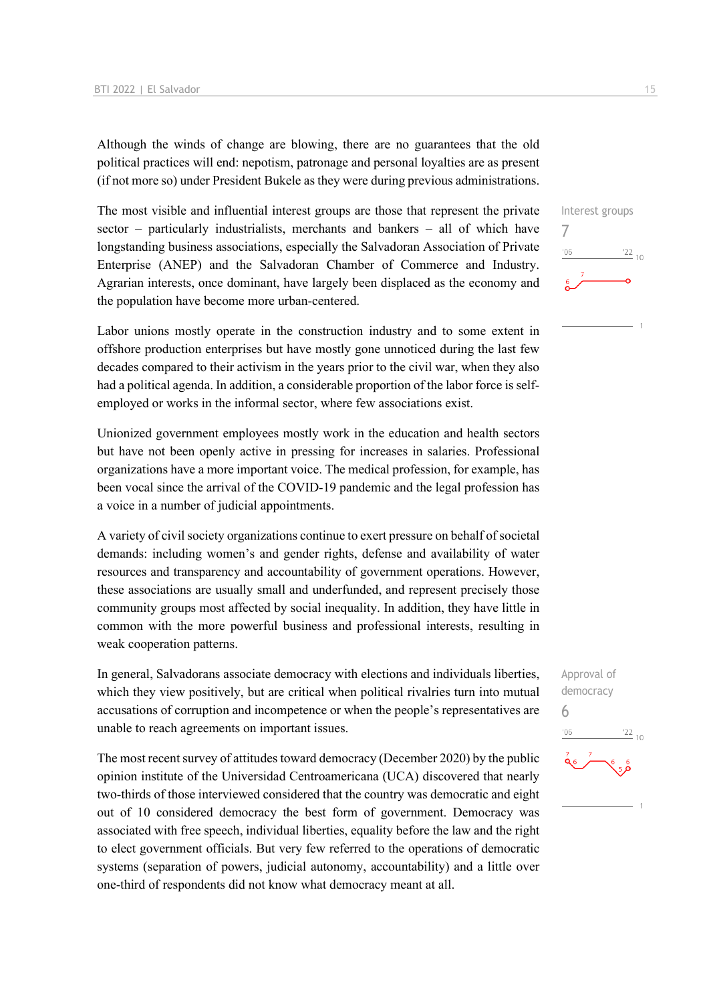Although the winds of change are blowing, there are no guarantees that the old political practices will end: nepotism, patronage and personal loyalties are as present (if not more so) under President Bukele as they were during previous administrations.

The most visible and influential interest groups are those that represent the private sector – particularly industrialists, merchants and bankers – all of which have longstanding business associations, especially the Salvadoran Association of Private Enterprise (ANEP) and the Salvadoran Chamber of Commerce and Industry. Agrarian interests, once dominant, have largely been displaced as the economy and the population have become more urban-centered.

Labor unions mostly operate in the construction industry and to some extent in offshore production enterprises but have mostly gone unnoticed during the last few decades compared to their activism in the years prior to the civil war, when they also had a political agenda. In addition, a considerable proportion of the labor force is selfemployed or works in the informal sector, where few associations exist.

Unionized government employees mostly work in the education and health sectors but have not been openly active in pressing for increases in salaries. Professional organizations have a more important voice. The medical profession, for example, has been vocal since the arrival of the COVID-19 pandemic and the legal profession has a voice in a number of judicial appointments.

A variety of civil society organizations continue to exert pressure on behalf of societal demands: including women's and gender rights, defense and availability of water resources and transparency and accountability of government operations. However, these associations are usually small and underfunded, and represent precisely those community groups most affected by social inequality. In addition, they have little in common with the more powerful business and professional interests, resulting in weak cooperation patterns.

In general, Salvadorans associate democracy with elections and individuals liberties, which they view positively, but are critical when political rivalries turn into mutual accusations of corruption and incompetence or when the people's representatives are unable to reach agreements on important issues.

The most recent survey of attitudes toward democracy (December 2020) by the public opinion institute of the Universidad Centroamericana (UCA) discovered that nearly two-thirds of those interviewed considered that the country was democratic and eight out of 10 considered democracy the best form of government. Democracy was associated with free speech, individual liberties, equality before the law and the right to elect government officials. But very few referred to the operations of democratic systems (separation of powers, judicial autonomy, accountability) and a little over one-third of respondents did not know what democracy meant at all.



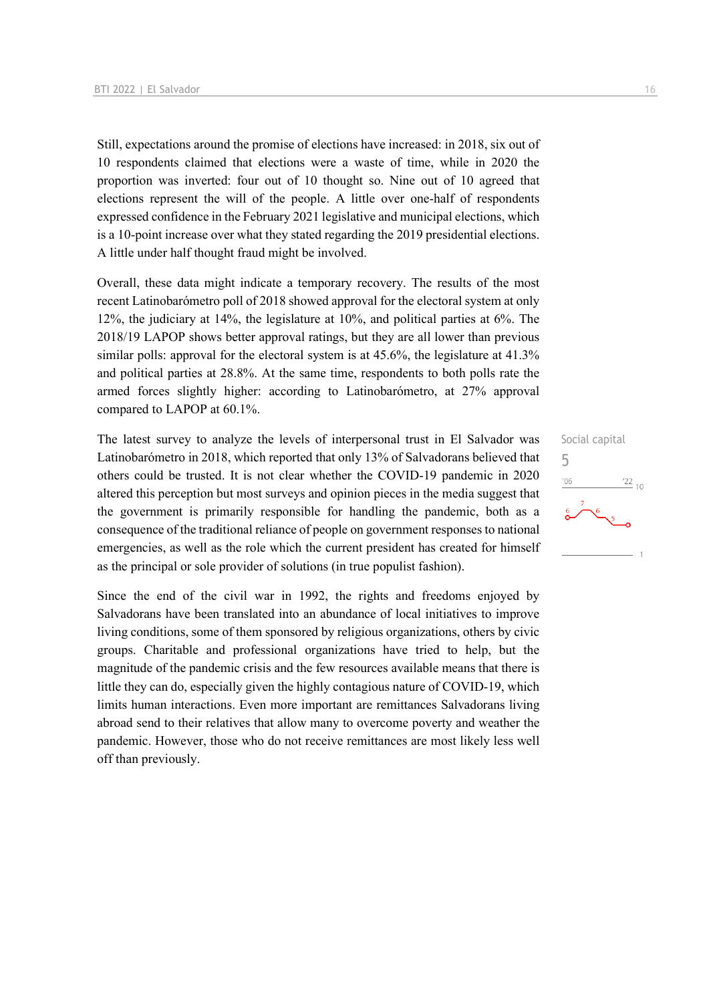Still, expectations around the promise of elections have increased: in 2018, six out of 10 respondents claimed that elections were a waste of time, while in 2020 the proportion was inverted: four out of 10 thought so. Nine out of 10 agreed that elections represent the will of the people. A little over one-half of respondents expressed confidence in the February 2021 legislative and municipal elections, which is a 10-point increase over what they stated regarding the 2019 presidential elections. A little under half thought fraud might be involved.

Overall, these data might indicate a temporary recovery. The results of the most recent Latinobarómetro poll of 2018 showed approval for the electoral system at only 12%, the judiciary at 14%, the legislature at 10%, and political parties at 6%. The 2018/19 LAPOP shows better approval ratings, but they are all lower than previous similar polls: approval for the electoral system is at 45.6%, the legislature at 41.3% and political parties at 28.8%. At the same time, respondents to both polls rate the armed forces slightly higher: according to Latinobarómetro, at 27% approval compared to LAPOP at 60.1%.

The latest survey to analyze the levels of interpersonal trust in El Salvador was Latinobarómetro in 2018, which reported that only 13% of Salvadorans believed that others could be trusted. It is not clear whether the COVID-19 pandemic in 2020 altered this perception but most surveys and opinion pieces in the media suggest that the government is primarily responsible for handling the pandemic, both as a consequence of the traditional reliance of people on government responses to national emergencies, as well as the role which the current president has created for himself as the principal or sole provider of solutions (in true populist fashion).

Since the end of the civil war in 1992, the rights and freedoms enjoyed by Salvadorans have been translated into an abundance of local initiatives to improve living conditions, some of them sponsored by religious organizations, others by civic groups. Charitable and professional organizations have tried to help, but the magnitude of the pandemic crisis and the few resources available means that there is little they can do, especially given the highly contagious nature of COVID-19, which limits human interactions. Even more important are remittances Salvadorans living abroad send to their relatives that allow many to overcome poverty and weather the pandemic. However, those who do not receive remittances are most likely less well off than previously.

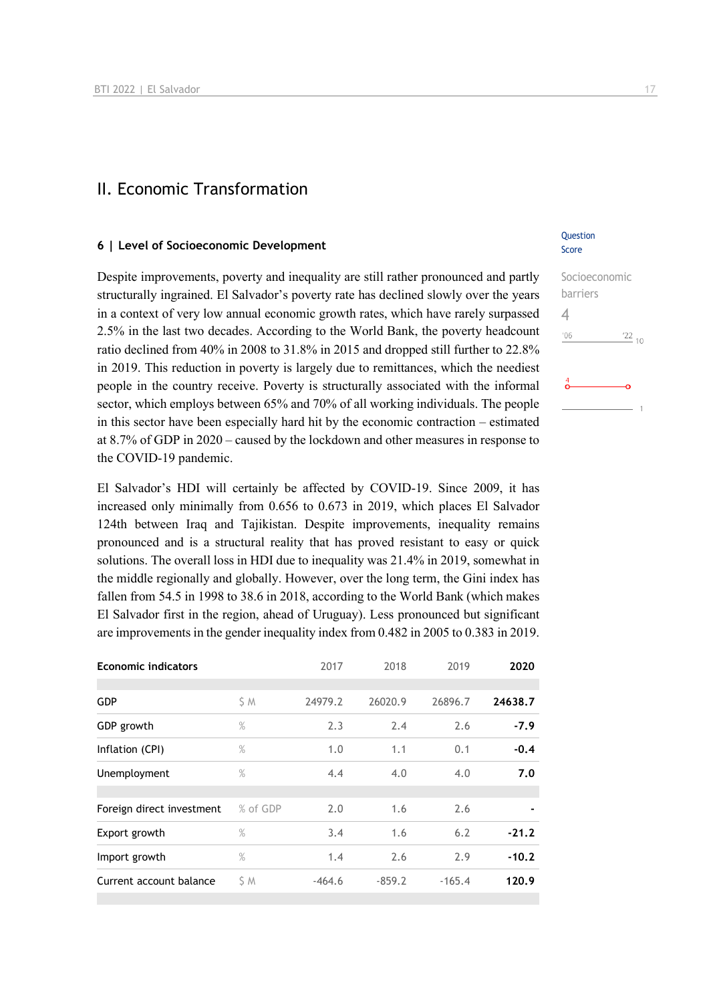### II. Economic Transformation

#### **6 | Level of Socioeconomic Development**

Despite improvements, poverty and inequality are still rather pronounced and partly structurally ingrained. El Salvador's poverty rate has declined slowly over the years in a context of very low annual economic growth rates, which have rarely surpassed 2.5% in the last two decades. According to the World Bank, the poverty headcount ratio declined from 40% in 2008 to 31.8% in 2015 and dropped still further to 22.8% in 2019. This reduction in poverty is largely due to remittances, which the neediest people in the country receive. Poverty is structurally associated with the informal sector, which employs between 65% and 70% of all working individuals. The people in this sector have been especially hard hit by the economic contraction – estimated at 8.7% of GDP in 2020 – caused by the lockdown and other measures in response to the COVID-19 pandemic.

El Salvador's HDI will certainly be affected by COVID-19. Since 2009, it has increased only minimally from 0.656 to 0.673 in 2019, which places El Salvador 124th between Iraq and Tajikistan. Despite improvements, inequality remains pronounced and is a structural reality that has proved resistant to easy or quick solutions. The overall loss in HDI due to inequality was 21.4% in 2019, somewhat in the middle regionally and globally. However, over the long term, the Gini index has fallen from 54.5 in 1998 to 38.6 in 2018, according to the World Bank (which makes El Salvador first in the region, ahead of Uruguay). Less pronounced but significant are improvements in the gender inequality index from 0.482 in 2005 to 0.383 in 2019.

| <b>Economic indicators</b> |          | 2017     | 2018     | 2019     | 2020    |
|----------------------------|----------|----------|----------|----------|---------|
| <b>GDP</b>                 | S M      | 24979.2  | 26020.9  | 26896.7  | 24638.7 |
| GDP growth                 | $\%$     | 2.3      | 2.4      | 2.6      | $-7.9$  |
| Inflation (CPI)            | %        | 1.0      | 1.1      | 0.1      | $-0.4$  |
| Unemployment               | $\%$     | 4.4      | 4.0      | 4.0      | 7.0     |
|                            |          |          |          |          |         |
| Foreign direct investment  | % of GDP | 2.0      | 1.6      | 2.6      |         |
| Export growth              | $\%$     | 3.4      | 1.6      | 6.2      | $-21.2$ |
| Import growth              | $\%$     | 1.4      | 2.6      | 2.9      | $-10.2$ |
| Current account balance    | ŚΜ       | $-464.6$ | $-859.2$ | $-165.4$ | 120.9   |

#### **Question** Score

| Socioeconomic |                 |
|---------------|-----------------|
| barriers      |                 |
|               |                 |
| '06           | $\frac{22}{10}$ |
|               |                 |
|               |                 |
|               |                 |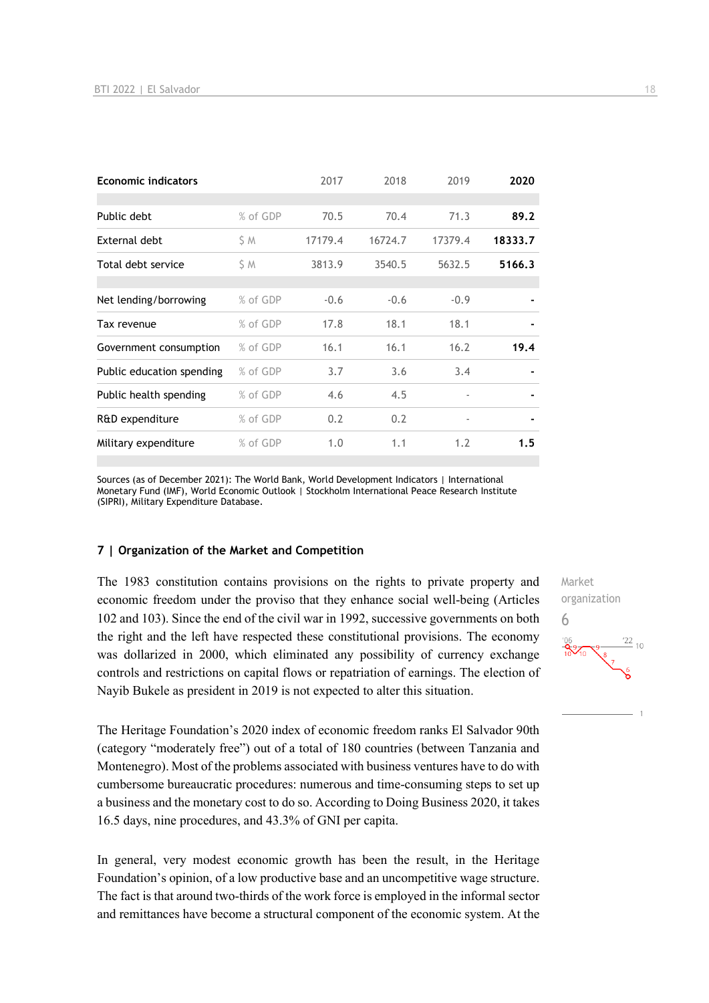| <b>Economic indicators</b> |          | 2017    | 2018    | 2019                     | 2020    |
|----------------------------|----------|---------|---------|--------------------------|---------|
|                            |          |         |         |                          |         |
| Public debt                | % of GDP | 70.5    | 70.4    | 71.3                     | 89.2    |
| External debt              | S M      | 17179.4 | 16724.7 | 17379.4                  | 18333.7 |
| Total debt service         | S M      | 3813.9  | 3540.5  | 5632.5                   | 5166.3  |
|                            |          |         |         |                          |         |
| Net lending/borrowing      | % of GDP | $-0.6$  | $-0.6$  | $-0.9$                   |         |
| Tax revenue                | % of GDP | 17.8    | 18.1    | 18.1                     |         |
| Government consumption     | % of GDP | 16.1    | 16.1    | 16.2                     | 19.4    |
| Public education spending  | % of GDP | 3.7     | 3.6     | 3.4                      |         |
| Public health spending     | % of GDP | 4.6     | 4.5     | $\overline{\phantom{a}}$ |         |
| R&D expenditure            | % of GDP | 0.2     | 0.2     | $\overline{\phantom{a}}$ |         |
| Military expenditure       | % of GDP | 1.0     | 1.1     | 1.2                      | 1.5     |

Sources (as of December 2021): The World Bank, World Development Indicators | International Monetary Fund (IMF), World Economic Outlook | Stockholm International Peace Research Institute (SIPRI), Military Expenditure Database.

#### **7 | Organization of the Market and Competition**

The 1983 constitution contains provisions on the rights to private property and economic freedom under the proviso that they enhance social well-being (Articles 102 and 103). Since the end of the civil war in 1992, successive governments on both the right and the left have respected these constitutional provisions. The economy was dollarized in 2000, which eliminated any possibility of currency exchange controls and restrictions on capital flows or repatriation of earnings. The election of Nayib Bukele as president in 2019 is not expected to alter this situation.

The Heritage Foundation's 2020 index of economic freedom ranks El Salvador 90th (category "moderately free") out of a total of 180 countries (between Tanzania and Montenegro). Most of the problems associated with business ventures have to do with cumbersome bureaucratic procedures: numerous and time-consuming steps to set up a business and the monetary cost to do so. According to Doing Business 2020, it takes 16.5 days, nine procedures, and 43.3% of GNI per capita.

In general, very modest economic growth has been the result, in the Heritage Foundation's opinion, of a low productive base and an uncompetitive wage structure. The fact is that around two-thirds of the work force is employed in the informal sector and remittances have become a structural component of the economic system. At the Market organization 6 $\frac{22}{10}$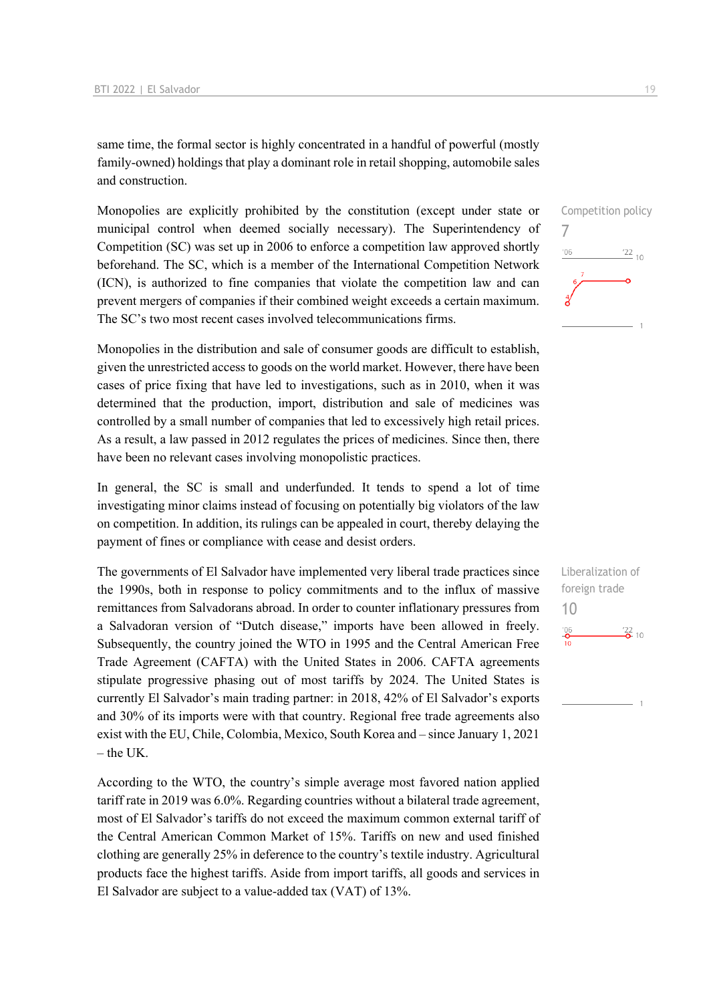same time, the formal sector is highly concentrated in a handful of powerful (mostly family-owned) holdings that play a dominant role in retail shopping, automobile sales and construction.

Monopolies are explicitly prohibited by the constitution (except under state or municipal control when deemed socially necessary). The Superintendency of Competition (SC) was set up in 2006 to enforce a competition law approved shortly beforehand. The SC, which is a member of the International Competition Network (ICN), is authorized to fine companies that violate the competition law and can prevent mergers of companies if their combined weight exceeds a certain maximum. The SC's two most recent cases involved telecommunications firms.

Monopolies in the distribution and sale of consumer goods are difficult to establish, given the unrestricted access to goods on the world market. However, there have been cases of price fixing that have led to investigations, such as in 2010, when it was determined that the production, import, distribution and sale of medicines was controlled by a small number of companies that led to excessively high retail prices. As a result, a law passed in 2012 regulates the prices of medicines. Since then, there have been no relevant cases involving monopolistic practices.

In general, the SC is small and underfunded. It tends to spend a lot of time investigating minor claims instead of focusing on potentially big violators of the law on competition. In addition, its rulings can be appealed in court, thereby delaying the payment of fines or compliance with cease and desist orders.

The governments of El Salvador have implemented very liberal trade practices since the 1990s, both in response to policy commitments and to the influx of massive remittances from Salvadorans abroad. In order to counter inflationary pressures from a Salvadoran version of "Dutch disease," imports have been allowed in freely. Subsequently, the country joined the WTO in 1995 and the Central American Free Trade Agreement (CAFTA) with the United States in 2006. CAFTA agreements stipulate progressive phasing out of most tariffs by 2024. The United States is currently El Salvador's main trading partner: in 2018, 42% of El Salvador's exports and 30% of its imports were with that country. Regional free trade agreements also exist with the EU, Chile, Colombia, Mexico, South Korea and – since January 1, 2021  $-$  the UK.

According to the WTO, the country's simple average most favored nation applied tariff rate in 2019 was 6.0%. Regarding countries without a bilateral trade agreement, most of El Salvador's tariffs do not exceed the maximum common external tariff of the Central American Common Market of 15%. Tariffs on new and used finished clothing are generally 25% in deference to the country's textile industry. Agricultural products face the highest tariffs. Aside from import tariffs, all goods and services in El Salvador are subject to a value-added tax (VAT) of 13%.

Competition policy 7  $\frac{22}{10}$ '06

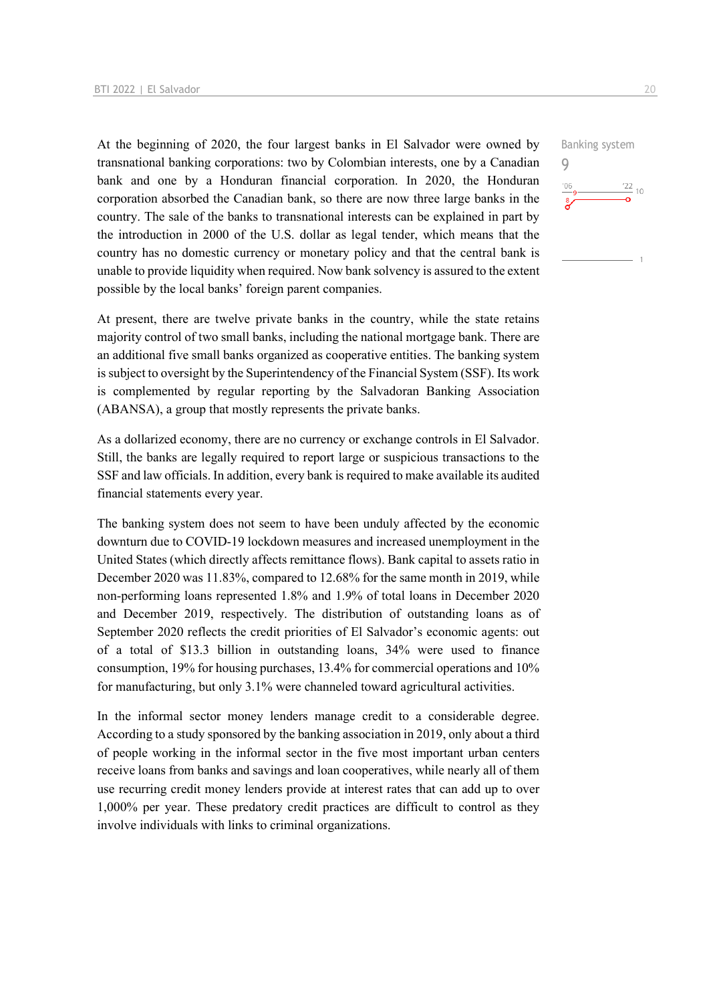At the beginning of 2020, the four largest banks in El Salvador were owned by transnational banking corporations: two by Colombian interests, one by a Canadian bank and one by a Honduran financial corporation. In 2020, the Honduran corporation absorbed the Canadian bank, so there are now three large banks in the country. The sale of the banks to transnational interests can be explained in part by the introduction in 2000 of the U.S. dollar as legal tender, which means that the country has no domestic currency or monetary policy and that the central bank is unable to provide liquidity when required. Now bank solvency is assured to the extent possible by the local banks' foreign parent companies.

At present, there are twelve private banks in the country, while the state retains majority control of two small banks, including the national mortgage bank. There are an additional five small banks organized as cooperative entities. The banking system is subject to oversight by the Superintendency of the Financial System (SSF). Its work is complemented by regular reporting by the Salvadoran Banking Association (ABANSA), a group that mostly represents the private banks.

As a dollarized economy, there are no currency or exchange controls in El Salvador. Still, the banks are legally required to report large or suspicious transactions to the SSF and law officials. In addition, every bank is required to make available its audited financial statements every year.

The banking system does not seem to have been unduly affected by the economic downturn due to COVID-19 lockdown measures and increased unemployment in the United States (which directly affects remittance flows). Bank capital to assets ratio in December 2020 was 11.83%, compared to 12.68% for the same month in 2019, while non-performing loans represented 1.8% and 1.9% of total loans in December 2020 and December 2019, respectively. The distribution of outstanding loans as of September 2020 reflects the credit priorities of El Salvador's economic agents: out of a total of \$13.3 billion in outstanding loans, 34% were used to finance consumption, 19% for housing purchases, 13.4% for commercial operations and 10% for manufacturing, but only 3.1% were channeled toward agricultural activities.

In the informal sector money lenders manage credit to a considerable degree. According to a study sponsored by the banking association in 2019, only about a third of people working in the informal sector in the five most important urban centers receive loans from banks and savings and loan cooperatives, while nearly all of them use recurring credit money lenders provide at interest rates that can add up to over 1,000% per year. These predatory credit practices are difficult to control as they involve individuals with links to criminal organizations.

Banking system 9 $\frac{22}{10}$  10  $'06$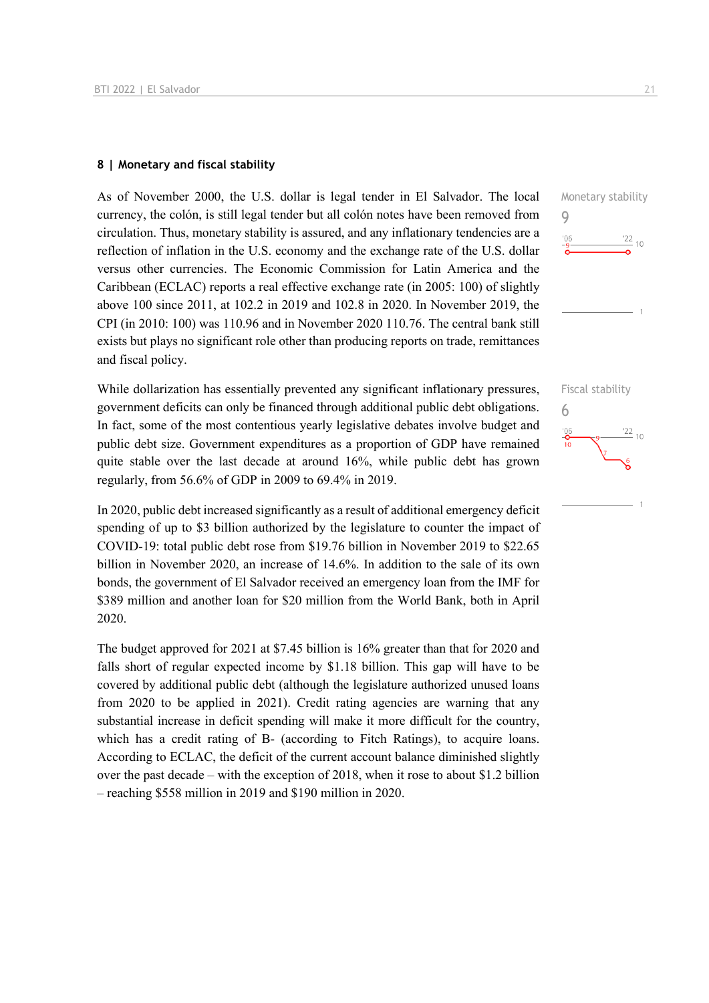#### **8 | Monetary and fiscal stability**

As of November 2000, the U.S. dollar is legal tender in El Salvador. The local currency, the colón, is still legal tender but all colón notes have been removed from circulation. Thus, monetary stability is assured, and any inflationary tendencies are a reflection of inflation in the U.S. economy and the exchange rate of the U.S. dollar versus other currencies. The Economic Commission for Latin America and the Caribbean (ECLAC) reports a real effective exchange rate (in 2005: 100) of slightly above 100 since 2011, at 102.2 in 2019 and 102.8 in 2020. In November 2019, the CPI (in 2010: 100) was 110.96 and in November 2020 110.76. The central bank still exists but plays no significant role other than producing reports on trade, remittances and fiscal policy.

While dollarization has essentially prevented any significant inflationary pressures, government deficits can only be financed through additional public debt obligations. In fact, some of the most contentious yearly legislative debates involve budget and public debt size. Government expenditures as a proportion of GDP have remained quite stable over the last decade at around 16%, while public debt has grown regularly, from 56.6% of GDP in 2009 to 69.4% in 2019.

In 2020, public debt increased significantly as a result of additional emergency deficit spending of up to \$3 billion authorized by the legislature to counter the impact of COVID-19: total public debt rose from \$19.76 billion in November 2019 to \$22.65 billion in November 2020, an increase of 14.6%. In addition to the sale of its own bonds, the government of El Salvador received an emergency loan from the IMF for \$389 million and another loan for \$20 million from the World Bank, both in April 2020.

The budget approved for 2021 at \$7.45 billion is 16% greater than that for 2020 and falls short of regular expected income by \$1.18 billion. This gap will have to be covered by additional public debt (although the legislature authorized unused loans from 2020 to be applied in 2021). Credit rating agencies are warning that any substantial increase in deficit spending will make it more difficult for the country, which has a credit rating of B- (according to Fitch Ratings), to acquire loans. According to ECLAC, the deficit of the current account balance diminished slightly over the past decade – with the exception of 2018, when it rose to about \$1.2 billion – reaching \$558 million in 2019 and \$190 million in 2020.





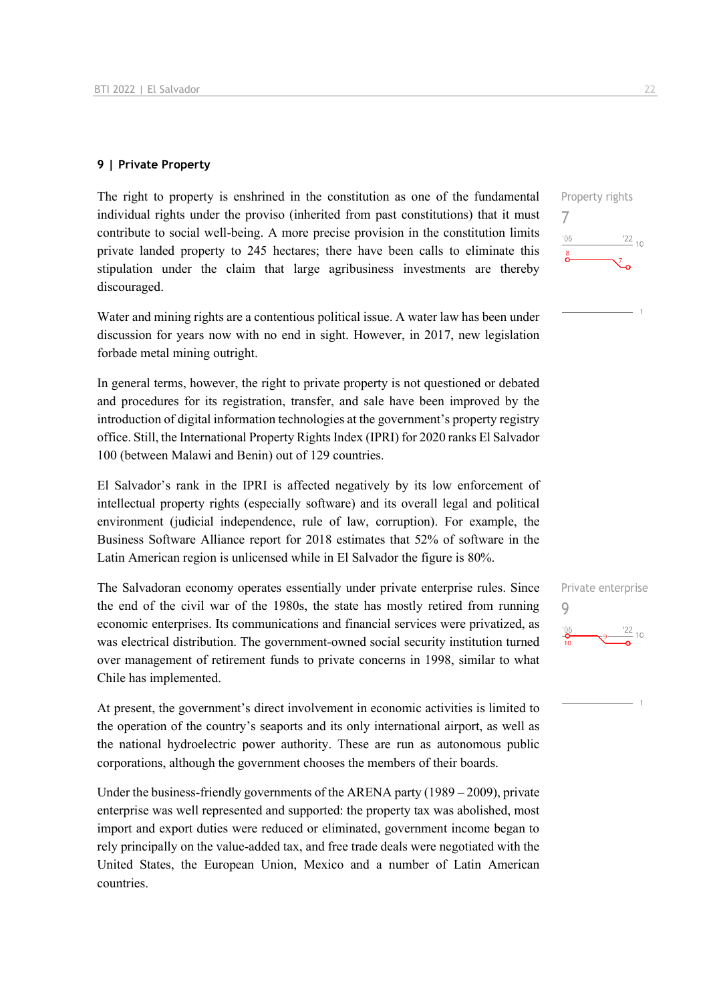#### **9 | Private Property**

The right to property is enshrined in the constitution as one of the fundamental individual rights under the proviso (inherited from past constitutions) that it must contribute to social well-being. A more precise provision in the constitution limits private landed property to 245 hectares; there have been calls to eliminate this stipulation under the claim that large agribusiness investments are thereby discouraged.

Water and mining rights are a contentious political issue. A water law has been under discussion for years now with no end in sight. However, in 2017, new legislation forbade metal mining outright.

In general terms, however, the right to private property is not questioned or debated and procedures for its registration, transfer, and sale have been improved by the introduction of digital information technologies at the government's property registry office. Still, the International Property Rights Index (IPRI) for 2020 ranks El Salvador 100 (between Malawi and Benin) out of 129 countries.

El Salvador's rank in the IPRI is affected negatively by its low enforcement of intellectual property rights (especially software) and its overall legal and political environment (judicial independence, rule of law, corruption). For example, the Business Software Alliance report for 2018 estimates that 52% of software in the Latin American region is unlicensed while in El Salvador the figure is 80%.

The Salvadoran economy operates essentially under private enterprise rules. Since the end of the civil war of the 1980s, the state has mostly retired from running economic enterprises. Its communications and financial services were privatized, as was electrical distribution. The government-owned social security institution turned over management of retirement funds to private concerns in 1998, similar to what Chile has implemented.

At present, the government's direct involvement in economic activities is limited to the operation of the country's seaports and its only international airport, as well as the national hydroelectric power authority. These are run as autonomous public corporations, although the government chooses the members of their boards.

Under the business-friendly governments of the ARENA party (1989 – 2009), private enterprise was well represented and supported: the property tax was abolished, most import and export duties were reduced or eliminated, government income began to rely principally on the value-added tax, and free trade deals were negotiated with the United States, the European Union, Mexico and a number of Latin American countries.





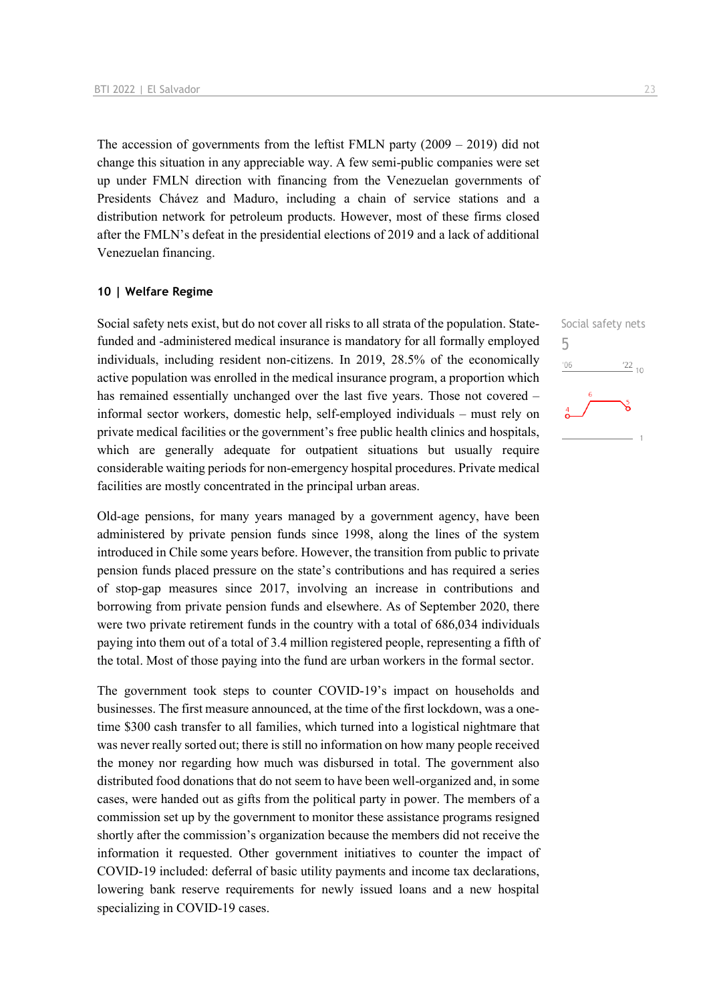The accession of governments from the leftist FMLN party  $(2009 - 2019)$  did not change this situation in any appreciable way. A few semi-public companies were set up under FMLN direction with financing from the Venezuelan governments of Presidents Chávez and Maduro, including a chain of service stations and a distribution network for petroleum products. However, most of these firms closed after the FMLN's defeat in the presidential elections of 2019 and a lack of additional Venezuelan financing.

#### **10 | Welfare Regime**

Social safety nets exist, but do not cover all risks to all strata of the population. Statefunded and -administered medical insurance is mandatory for all formally employed individuals, including resident non-citizens. In 2019, 28.5% of the economically active population was enrolled in the medical insurance program, a proportion which has remained essentially unchanged over the last five years. Those not covered – informal sector workers, domestic help, self-employed individuals – must rely on private medical facilities or the government's free public health clinics and hospitals, which are generally adequate for outpatient situations but usually require considerable waiting periods for non-emergency hospital procedures. Private medical facilities are mostly concentrated in the principal urban areas.

Old-age pensions, for many years managed by a government agency, have been administered by private pension funds since 1998, along the lines of the system introduced in Chile some years before. However, the transition from public to private pension funds placed pressure on the state's contributions and has required a series of stop-gap measures since 2017, involving an increase in contributions and borrowing from private pension funds and elsewhere. As of September 2020, there were two private retirement funds in the country with a total of 686,034 individuals paying into them out of a total of 3.4 million registered people, representing a fifth of the total. Most of those paying into the fund are urban workers in the formal sector.

The government took steps to counter COVID-19's impact on households and businesses. The first measure announced, at the time of the first lockdown, was a onetime \$300 cash transfer to all families, which turned into a logistical nightmare that was never really sorted out; there is still no information on how many people received the money nor regarding how much was disbursed in total. The government also distributed food donations that do not seem to have been well-organized and, in some cases, were handed out as gifts from the political party in power. The members of a commission set up by the government to monitor these assistance programs resigned shortly after the commission's organization because the members did not receive the information it requested. Other government initiatives to counter the impact of COVID-19 included: deferral of basic utility payments and income tax declarations, lowering bank reserve requirements for newly issued loans and a new hospital specializing in COVID-19 cases.

Social safety nets 5 $\frac{22}{10}$  $'06$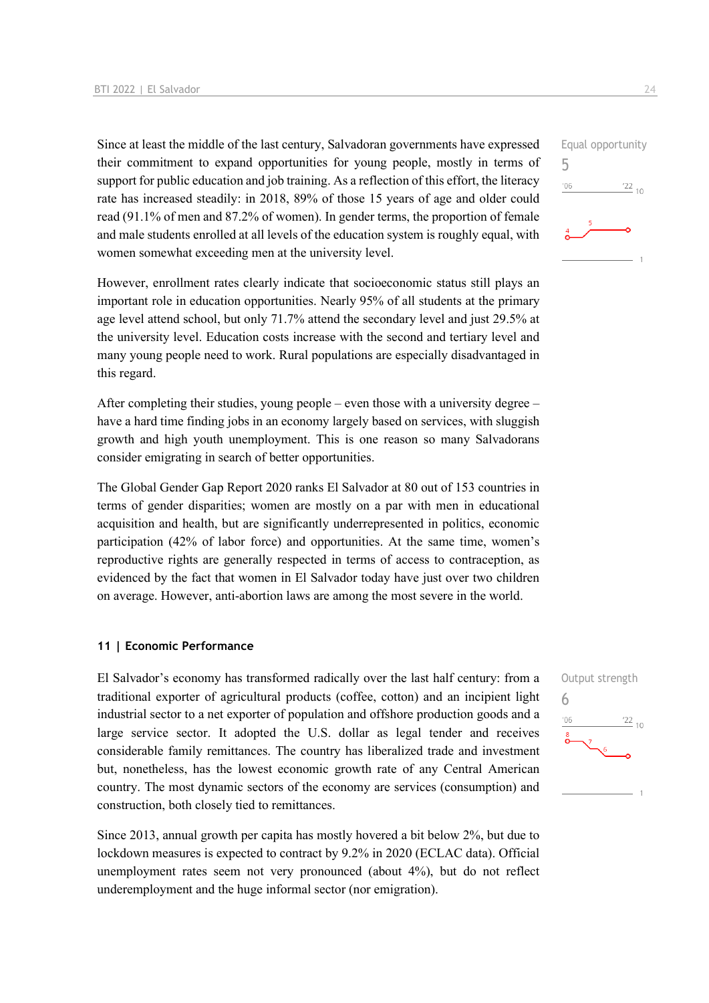Since at least the middle of the last century, Salvadoran governments have expressed their commitment to expand opportunities for young people, mostly in terms of support for public education and job training. As a reflection of this effort, the literacy rate has increased steadily: in 2018, 89% of those 15 years of age and older could read (91.1% of men and 87.2% of women). In gender terms, the proportion of female and male students enrolled at all levels of the education system is roughly equal, with women somewhat exceeding men at the university level.

However, enrollment rates clearly indicate that socioeconomic status still plays an important role in education opportunities. Nearly 95% of all students at the primary age level attend school, but only 71.7% attend the secondary level and just 29.5% at the university level. Education costs increase with the second and tertiary level and many young people need to work. Rural populations are especially disadvantaged in this regard.

After completing their studies, young people – even those with a university degree – have a hard time finding jobs in an economy largely based on services, with sluggish growth and high youth unemployment. This is one reason so many Salvadorans consider emigrating in search of better opportunities.

The Global Gender Gap Report 2020 ranks El Salvador at 80 out of 153 countries in terms of gender disparities; women are mostly on a par with men in educational acquisition and health, but are significantly underrepresented in politics, economic participation (42% of labor force) and opportunities. At the same time, women's reproductive rights are generally respected in terms of access to contraception, as evidenced by the fact that women in El Salvador today have just over two children on average. However, anti-abortion laws are among the most severe in the world.

#### **11 | Economic Performance**

El Salvador's economy has transformed radically over the last half century: from a traditional exporter of agricultural products (coffee, cotton) and an incipient light industrial sector to a net exporter of population and offshore production goods and a large service sector. It adopted the U.S. dollar as legal tender and receives considerable family remittances. The country has liberalized trade and investment but, nonetheless, has the lowest economic growth rate of any Central American country. The most dynamic sectors of the economy are services (consumption) and construction, both closely tied to remittances.

Since 2013, annual growth per capita has mostly hovered a bit below 2%, but due to lockdown measures is expected to contract by 9.2% in 2020 (ECLAC data). Official unemployment rates seem not very pronounced (about 4%), but do not reflect underemployment and the huge informal sector (nor emigration).



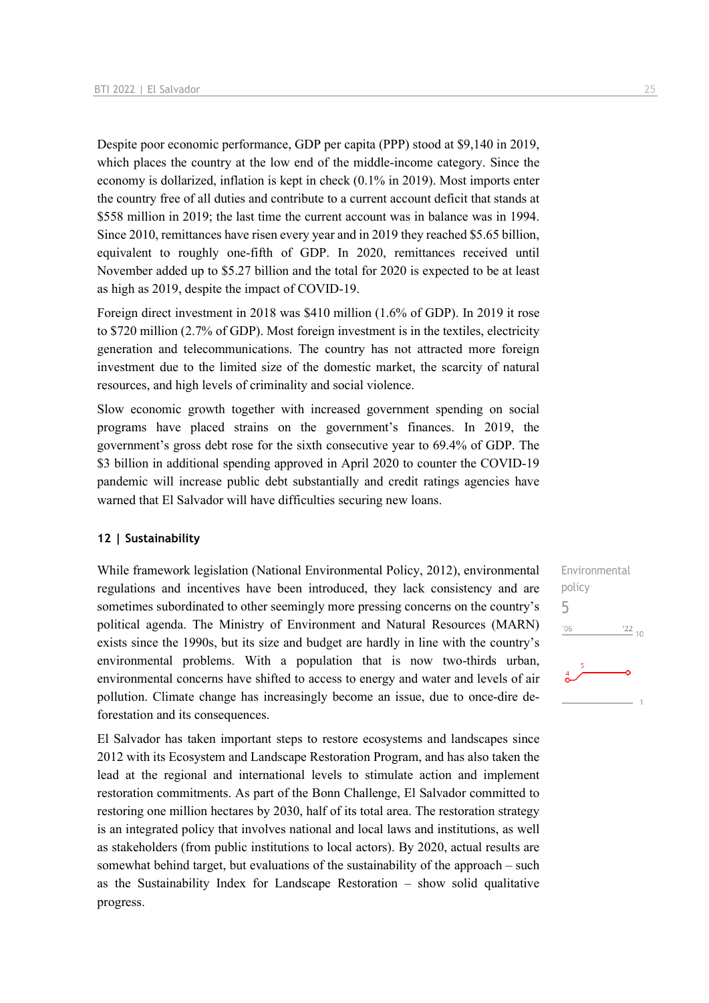Despite poor economic performance, GDP per capita (PPP) stood at \$9,140 in 2019, which places the country at the low end of the middle-income category. Since the economy is dollarized, inflation is kept in check (0.1% in 2019). Most imports enter the country free of all duties and contribute to a current account deficit that stands at \$558 million in 2019; the last time the current account was in balance was in 1994. Since 2010, remittances have risen every year and in 2019 they reached \$5.65 billion, equivalent to roughly one-fifth of GDP. In 2020, remittances received until November added up to \$5.27 billion and the total for 2020 is expected to be at least as high as 2019, despite the impact of COVID-19.

Foreign direct investment in 2018 was \$410 million (1.6% of GDP). In 2019 it rose to \$720 million (2.7% of GDP). Most foreign investment is in the textiles, electricity generation and telecommunications. The country has not attracted more foreign investment due to the limited size of the domestic market, the scarcity of natural resources, and high levels of criminality and social violence.

Slow economic growth together with increased government spending on social programs have placed strains on the government's finances. In 2019, the government's gross debt rose for the sixth consecutive year to 69.4% of GDP. The \$3 billion in additional spending approved in April 2020 to counter the COVID-19 pandemic will increase public debt substantially and credit ratings agencies have warned that El Salvador will have difficulties securing new loans.

#### **12 | Sustainability**

While framework legislation (National Environmental Policy, 2012), environmental regulations and incentives have been introduced, they lack consistency and are sometimes subordinated to other seemingly more pressing concerns on the country's political agenda. The Ministry of Environment and Natural Resources (MARN) exists since the 1990s, but its size and budget are hardly in line with the country's environmental problems. With a population that is now two-thirds urban, environmental concerns have shifted to access to energy and water and levels of air pollution. Climate change has increasingly become an issue, due to once-dire deforestation and its consequences.

El Salvador has taken important steps to restore ecosystems and landscapes since 2012 with its Ecosystem and Landscape Restoration Program, and has also taken the lead at the regional and international levels to stimulate action and implement restoration commitments. As part of the Bonn Challenge, El Salvador committed to restoring one million hectares by 2030, half of its total area. The restoration strategy is an integrated policy that involves national and local laws and institutions, as well as stakeholders (from public institutions to local actors). By 2020, actual results are somewhat behind target, but evaluations of the sustainability of the approach – such as the Sustainability Index for Landscape Restoration – show solid qualitative progress.

Environmental policy 5 $06'$  $\frac{22}{10}$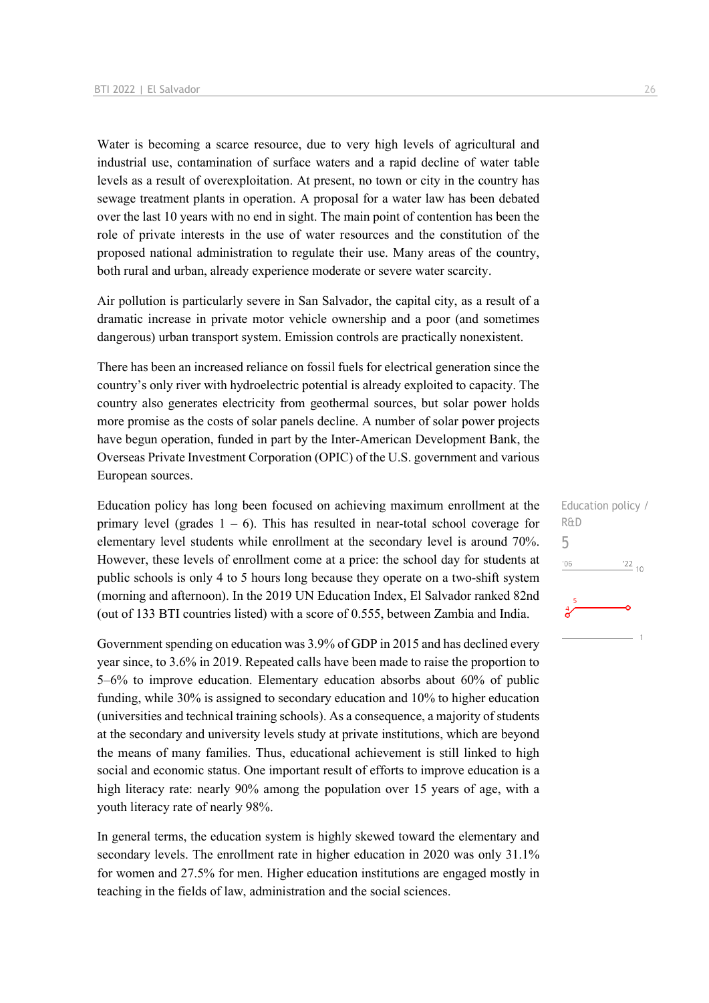Water is becoming a scarce resource, due to very high levels of agricultural and industrial use, contamination of surface waters and a rapid decline of water table levels as a result of overexploitation. At present, no town or city in the country has sewage treatment plants in operation. A proposal for a water law has been debated over the last 10 years with no end in sight. The main point of contention has been the role of private interests in the use of water resources and the constitution of the proposed national administration to regulate their use. Many areas of the country, both rural and urban, already experience moderate or severe water scarcity.

Air pollution is particularly severe in San Salvador, the capital city, as a result of a dramatic increase in private motor vehicle ownership and a poor (and sometimes dangerous) urban transport system. Emission controls are practically nonexistent.

There has been an increased reliance on fossil fuels for electrical generation since the country's only river with hydroelectric potential is already exploited to capacity. The country also generates electricity from geothermal sources, but solar power holds more promise as the costs of solar panels decline. A number of solar power projects have begun operation, funded in part by the Inter-American Development Bank, the Overseas Private Investment Corporation (OPIC) of the U.S. government and various European sources.

Education policy has long been focused on achieving maximum enrollment at the primary level (grades  $1 - 6$ ). This has resulted in near-total school coverage for elementary level students while enrollment at the secondary level is around 70%. However, these levels of enrollment come at a price: the school day for students at public schools is only 4 to 5 hours long because they operate on a two-shift system (morning and afternoon). In the 2019 UN Education Index, El Salvador ranked 82nd (out of 133 BTI countries listed) with a score of 0.555, between Zambia and India.

Government spending on education was 3.9% of GDP in 2015 and has declined every year since, to 3.6% in 2019. Repeated calls have been made to raise the proportion to 5–6% to improve education. Elementary education absorbs about 60% of public funding, while 30% is assigned to secondary education and 10% to higher education (universities and technical training schools). As a consequence, a majority of students at the secondary and university levels study at private institutions, which are beyond the means of many families. Thus, educational achievement is still linked to high social and economic status. One important result of efforts to improve education is a high literacy rate: nearly 90% among the population over 15 years of age, with a youth literacy rate of nearly 98%.

In general terms, the education system is highly skewed toward the elementary and secondary levels. The enrollment rate in higher education in 2020 was only 31.1% for women and 27.5% for men. Higher education institutions are engaged mostly in teaching in the fields of law, administration and the social sciences.

Education policy / R&D 5 $'06$  $^{22}$  10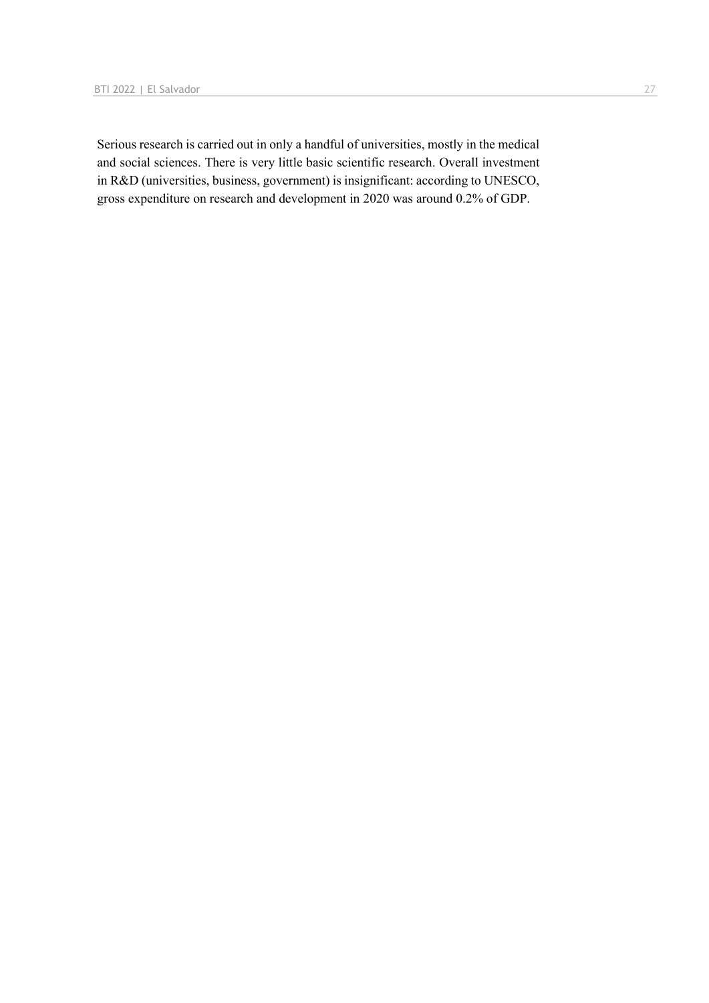Serious research is carried out in only a handful of universities, mostly in the medical and social sciences. There is very little basic scientific research. Overall investment in R&D (universities, business, government) is insignificant: according to UNESCO, gross expenditure on research and development in 2020 was around 0.2% of GDP.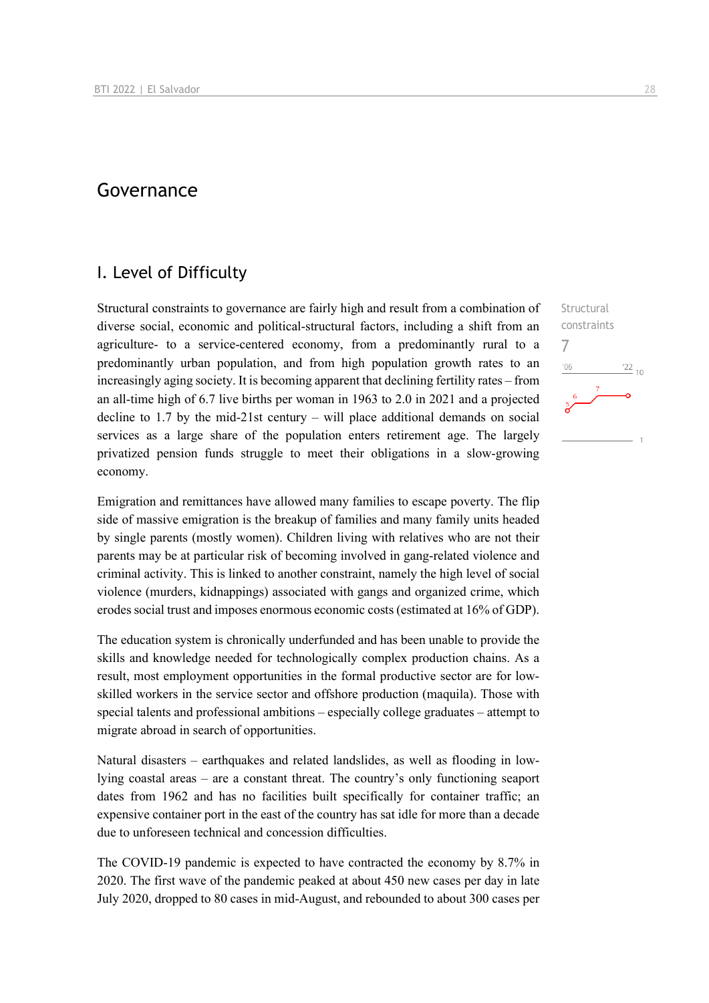## Governance

## I. Level of Difficulty

Structural constraints to governance are fairly high and result from a combination of diverse social, economic and political-structural factors, including a shift from an agriculture- to a service-centered economy, from a predominantly rural to a predominantly urban population, and from high population growth rates to an increasingly aging society. It is becoming apparent that declining fertility rates – from an all-time high of 6.7 live births per woman in 1963 to 2.0 in 2021 and a projected decline to 1.7 by the mid-21st century – will place additional demands on social services as a large share of the population enters retirement age. The largely privatized pension funds struggle to meet their obligations in a slow-growing economy.

Emigration and remittances have allowed many families to escape poverty. The flip side of massive emigration is the breakup of families and many family units headed by single parents (mostly women). Children living with relatives who are not their parents may be at particular risk of becoming involved in gang-related violence and criminal activity. This is linked to another constraint, namely the high level of social violence (murders, kidnappings) associated with gangs and organized crime, which erodes social trust and imposes enormous economic costs (estimated at 16% of GDP).

The education system is chronically underfunded and has been unable to provide the skills and knowledge needed for technologically complex production chains. As a result, most employment opportunities in the formal productive sector are for lowskilled workers in the service sector and offshore production (maquila). Those with special talents and professional ambitions – especially college graduates – attempt to migrate abroad in search of opportunities.

Natural disasters – earthquakes and related landslides, as well as flooding in lowlying coastal areas – are a constant threat. The country's only functioning seaport dates from 1962 and has no facilities built specifically for container traffic; an expensive container port in the east of the country has sat idle for more than a decade due to unforeseen technical and concession difficulties.

The COVID-19 pandemic is expected to have contracted the economy by 8.7% in 2020. The first wave of the pandemic peaked at about 450 new cases per day in late July 2020, dropped to 80 cases in mid-August, and rebounded to about 300 cases per

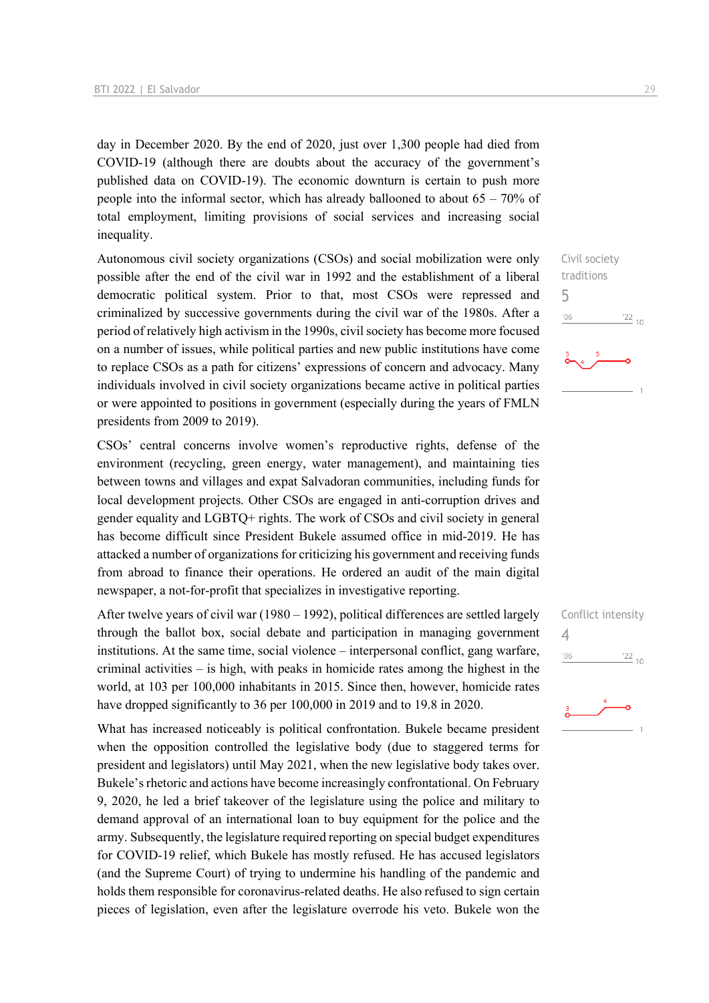day in December 2020. By the end of 2020, just over 1,300 people had died from COVID-19 (although there are doubts about the accuracy of the government's published data on COVID-19). The economic downturn is certain to push more people into the informal sector, which has already ballooned to about 65 – 70% of total employment, limiting provisions of social services and increasing social inequality.

Autonomous civil society organizations (CSOs) and social mobilization were only possible after the end of the civil war in 1992 and the establishment of a liberal democratic political system. Prior to that, most CSOs were repressed and criminalized by successive governments during the civil war of the 1980s. After a period of relatively high activism in the 1990s, civil society has become more focused on a number of issues, while political parties and new public institutions have come to replace CSOs as a path for citizens' expressions of concern and advocacy. Many individuals involved in civil society organizations became active in political parties or were appointed to positions in government (especially during the years of FMLN presidents from 2009 to 2019).

CSOs' central concerns involve women's reproductive rights, defense of the environment (recycling, green energy, water management), and maintaining ties between towns and villages and expat Salvadoran communities, including funds for local development projects. Other CSOs are engaged in anti-corruption drives and gender equality and LGBTQ+ rights. The work of CSOs and civil society in general has become difficult since President Bukele assumed office in mid-2019. He has attacked a number of organizations for criticizing his government and receiving funds from abroad to finance their operations. He ordered an audit of the main digital newspaper, a not-for-profit that specializes in investigative reporting.

After twelve years of civil war (1980 – 1992), political differences are settled largely through the ballot box, social debate and participation in managing government institutions. At the same time, social violence – interpersonal conflict, gang warfare, criminal activities – is high, with peaks in homicide rates among the highest in the world, at 103 per 100,000 inhabitants in 2015. Since then, however, homicide rates have dropped significantly to 36 per 100,000 in 2019 and to 19.8 in 2020.

What has increased noticeably is political confrontation. Bukele became president when the opposition controlled the legislative body (due to staggered terms for president and legislators) until May 2021, when the new legislative body takes over. Bukele's rhetoric and actions have become increasingly confrontational. On February 9, 2020, he led a brief takeover of the legislature using the police and military to demand approval of an international loan to buy equipment for the police and the army. Subsequently, the legislature required reporting on special budget expenditures for COVID-19 relief, which Bukele has mostly refused. He has accused legislators (and the Supreme Court) of trying to undermine his handling of the pandemic and holds them responsible for coronavirus-related deaths. He also refused to sign certain pieces of legislation, even after the legislature overrode his veto. Bukele won the Civil society traditions 5  $\frac{22}{10}$  $06'$ 

|                | Conflict intensity |
|----------------|--------------------|
| $\overline{4}$ |                    |
| '06            | $^{22}_{-10}$      |
|                |                    |

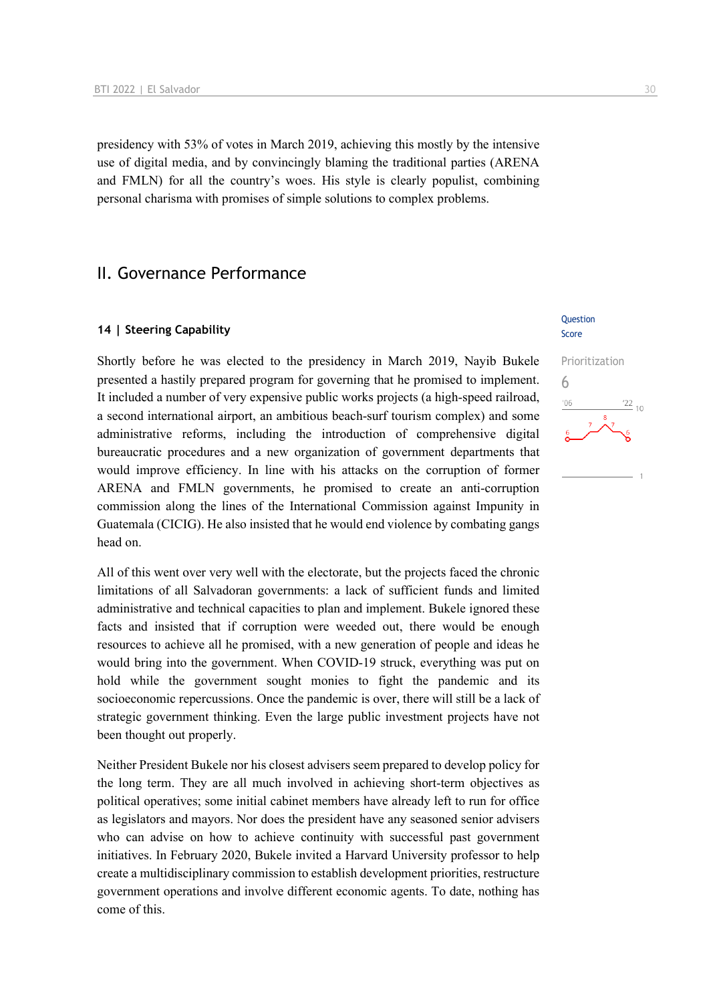presidency with 53% of votes in March 2019, achieving this mostly by the intensive use of digital media, and by convincingly blaming the traditional parties (ARENA and FMLN) for all the country's woes. His style is clearly populist, combining personal charisma with promises of simple solutions to complex problems.

## II. Governance Performance

#### **14 | Steering Capability**

Shortly before he was elected to the presidency in March 2019, Nayib Bukele presented a hastily prepared program for governing that he promised to implement. It included a number of very expensive public works projects (a high-speed railroad, a second international airport, an ambitious beach-surf tourism complex) and some administrative reforms, including the introduction of comprehensive digital bureaucratic procedures and a new organization of government departments that would improve efficiency. In line with his attacks on the corruption of former ARENA and FMLN governments, he promised to create an anti-corruption commission along the lines of the International Commission against Impunity in Guatemala (CICIG). He also insisted that he would end violence by combating gangs head on.

All of this went over very well with the electorate, but the projects faced the chronic limitations of all Salvadoran governments: a lack of sufficient funds and limited administrative and technical capacities to plan and implement. Bukele ignored these facts and insisted that if corruption were weeded out, there would be enough resources to achieve all he promised, with a new generation of people and ideas he would bring into the government. When COVID-19 struck, everything was put on hold while the government sought monies to fight the pandemic and its socioeconomic repercussions. Once the pandemic is over, there will still be a lack of strategic government thinking. Even the large public investment projects have not been thought out properly.

Neither President Bukele nor his closest advisers seem prepared to develop policy for the long term. They are all much involved in achieving short-term objectives as political operatives; some initial cabinet members have already left to run for office as legislators and mayors. Nor does the president have any seasoned senior advisers who can advise on how to achieve continuity with successful past government initiatives. In February 2020, Bukele invited a Harvard University professor to help create a multidisciplinary commission to establish development priorities, restructure government operations and involve different economic agents. To date, nothing has come of this.

#### **Ouestion** Score

## Prioritization 6 $\frac{22}{10}$  $106$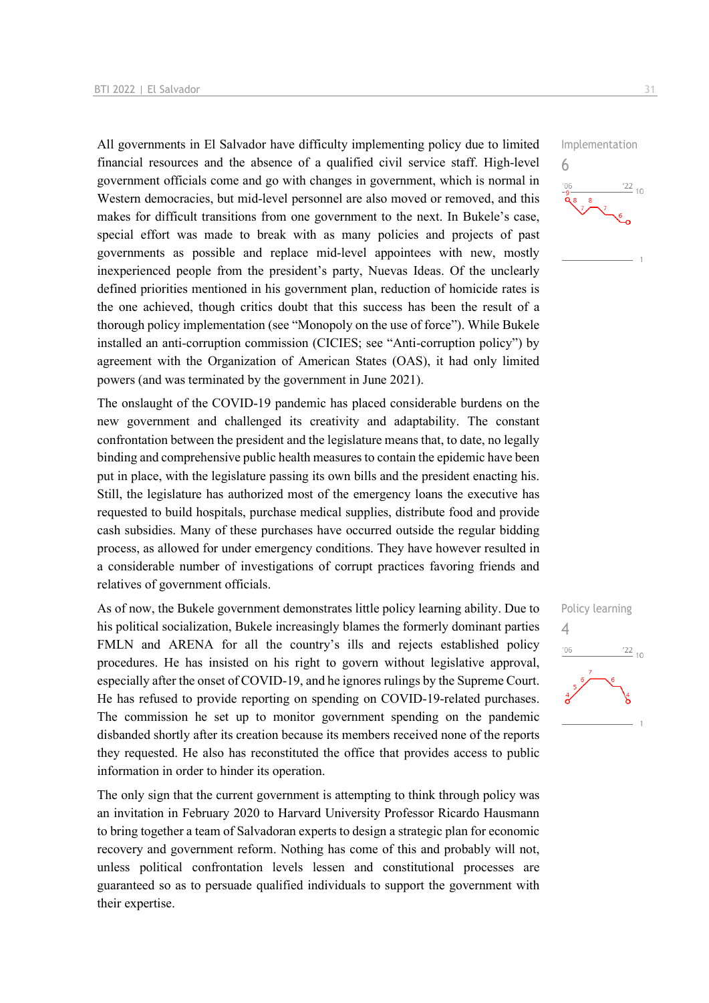All governments in El Salvador have difficulty implementing policy due to limited financial resources and the absence of a qualified civil service staff. High-level government officials come and go with changes in government, which is normal in Western democracies, but mid-level personnel are also moved or removed, and this makes for difficult transitions from one government to the next. In Bukele's case, special effort was made to break with as many policies and projects of past governments as possible and replace mid-level appointees with new, mostly inexperienced people from the president's party, Nuevas Ideas. Of the unclearly defined priorities mentioned in his government plan, reduction of homicide rates is the one achieved, though critics doubt that this success has been the result of a thorough policy implementation (see "Monopoly on the use of force"). While Bukele installed an anti-corruption commission (CICIES; see "Anti-corruption policy") by agreement with the Organization of American States (OAS), it had only limited powers (and was terminated by the government in June 2021).

The onslaught of the COVID-19 pandemic has placed considerable burdens on the new government and challenged its creativity and adaptability. The constant confrontation between the president and the legislature means that, to date, no legally binding and comprehensive public health measures to contain the epidemic have been put in place, with the legislature passing its own bills and the president enacting his. Still, the legislature has authorized most of the emergency loans the executive has requested to build hospitals, purchase medical supplies, distribute food and provide cash subsidies. Many of these purchases have occurred outside the regular bidding process, as allowed for under emergency conditions. They have however resulted in a considerable number of investigations of corrupt practices favoring friends and relatives of government officials.

As of now, the Bukele government demonstrates little policy learning ability. Due to his political socialization, Bukele increasingly blames the formerly dominant parties FMLN and ARENA for all the country's ills and rejects established policy procedures. He has insisted on his right to govern without legislative approval, especially after the onset of COVID-19, and he ignores rulings by the Supreme Court. He has refused to provide reporting on spending on COVID-19-related purchases. The commission he set up to monitor government spending on the pandemic disbanded shortly after its creation because its members received none of the reports they requested. He also has reconstituted the office that provides access to public information in order to hinder its operation.

The only sign that the current government is attempting to think through policy was an invitation in February 2020 to Harvard University Professor Ricardo Hausmann to bring together a team of Salvadoran experts to design a strategic plan for economic recovery and government reform. Nothing has come of this and probably will not, unless political confrontation levels lessen and constitutional processes are guaranteed so as to persuade qualified individuals to support the government with their expertise.

Implementation 6



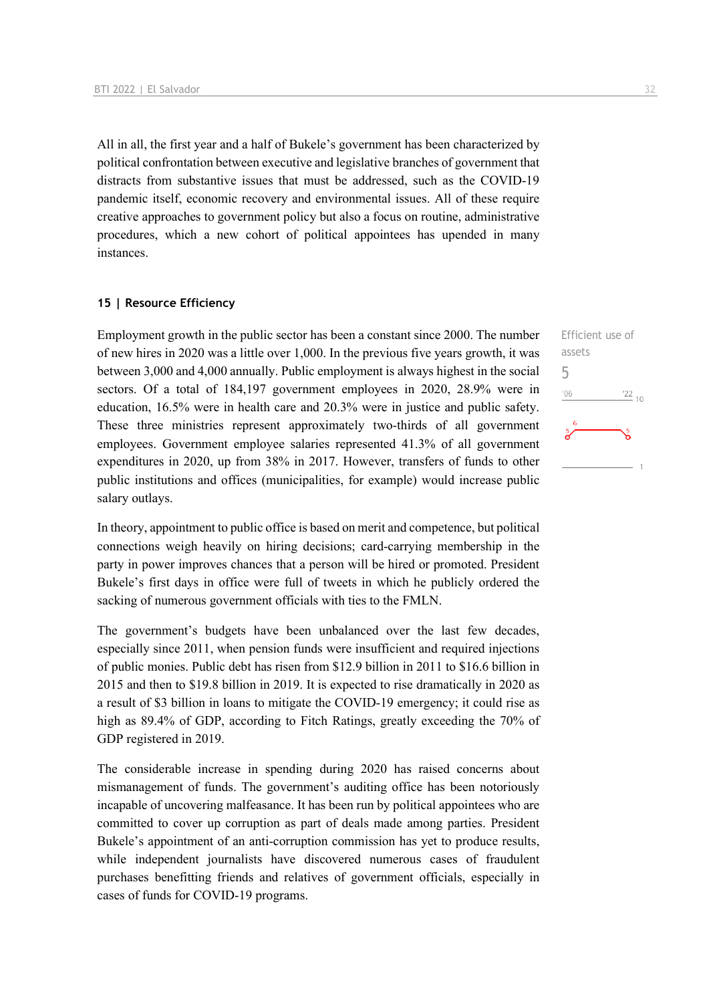All in all, the first year and a half of Bukele's government has been characterized by political confrontation between executive and legislative branches of government that distracts from substantive issues that must be addressed, such as the COVID-19 pandemic itself, economic recovery and environmental issues. All of these require creative approaches to government policy but also a focus on routine, administrative procedures, which a new cohort of political appointees has upended in many instances.

#### **15 | Resource Efficiency**

Employment growth in the public sector has been a constant since 2000. The number of new hires in 2020 was a little over 1,000. In the previous five years growth, it was between 3,000 and 4,000 annually. Public employment is always highest in the social sectors. Of a total of 184,197 government employees in 2020, 28.9% were in education, 16.5% were in health care and 20.3% were in justice and public safety. These three ministries represent approximately two-thirds of all government employees. Government employee salaries represented 41.3% of all government expenditures in 2020, up from 38% in 2017. However, transfers of funds to other public institutions and offices (municipalities, for example) would increase public salary outlays.

In theory, appointment to public office is based on merit and competence, but political connections weigh heavily on hiring decisions; card-carrying membership in the party in power improves chances that a person will be hired or promoted. President Bukele's first days in office were full of tweets in which he publicly ordered the sacking of numerous government officials with ties to the FMLN.

The government's budgets have been unbalanced over the last few decades, especially since 2011, when pension funds were insufficient and required injections of public monies. Public debt has risen from \$12.9 billion in 2011 to \$16.6 billion in 2015 and then to \$19.8 billion in 2019. It is expected to rise dramatically in 2020 as a result of \$3 billion in loans to mitigate the COVID-19 emergency; it could rise as high as 89.4% of GDP, according to Fitch Ratings, greatly exceeding the 70% of GDP registered in 2019.

The considerable increase in spending during 2020 has raised concerns about mismanagement of funds. The government's auditing office has been notoriously incapable of uncovering malfeasance. It has been run by political appointees who are committed to cover up corruption as part of deals made among parties. President Bukele's appointment of an anti-corruption commission has yet to produce results, while independent journalists have discovered numerous cases of fraudulent purchases benefitting friends and relatives of government officials, especially in cases of funds for COVID-19 programs.

Efficient use of

 $\frac{22}{10}$ 

assets 5 $106$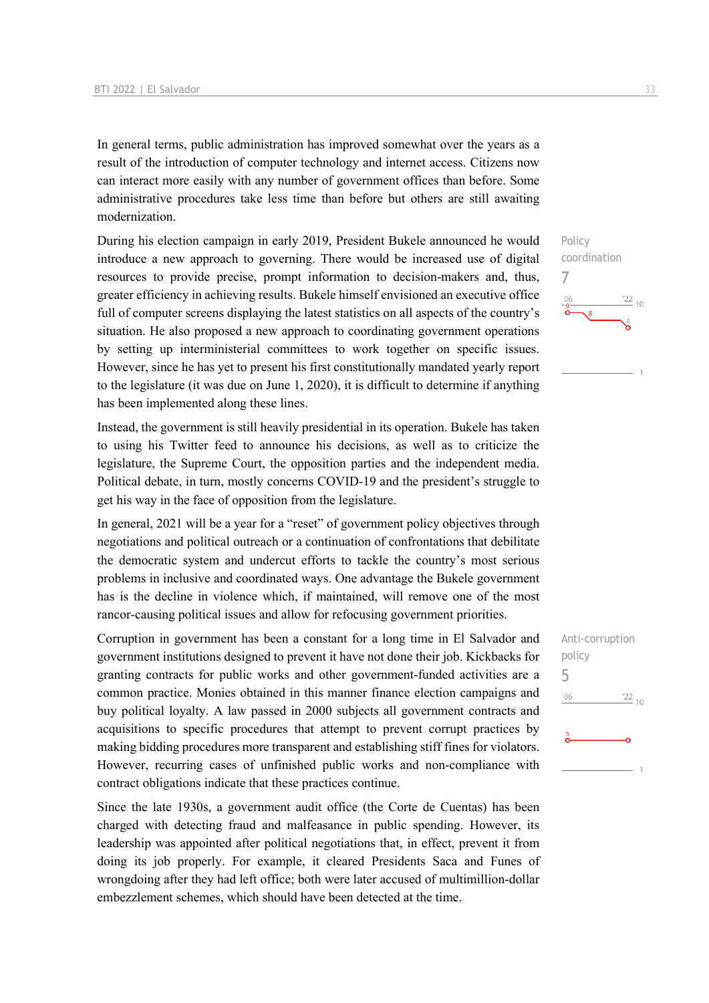In general terms, public administration has improved somewhat over the years as a result of the introduction of computer technology and internet access. Citizens now can interact more easily with any number of government offices than before. Some administrative procedures take less time than before but others are still awaiting modernization.

During his election campaign in early 2019, President Bukele announced he would introduce a new approach to governing. There would be increased use of digital resources to provide precise, prompt information to decision-makers and, thus, greater efficiency in achieving results. Bukele himself envisioned an executive office full of computer screens displaying the latest statistics on all aspects of the country's situation. He also proposed a new approach to coordinating government operations by setting up interministerial committees to work together on specific issues. However, since he has yet to present his first constitutionally mandated yearly report to the legislature (it was due on June 1, 2020), it is difficult to determine if anything has been implemented along these lines.

Instead, the government is still heavily presidential in its operation. Bukele has taken to using his Twitter feed to announce his decisions, as well as to criticize the legislature, the Supreme Court, the opposition parties and the independent media. Political debate, in turn, mostly concerns COVID-19 and the president's struggle to get his way in the face of opposition from the legislature.

In general, 2021 will be a year for a "reset" of government policy objectives through negotiations and political outreach or a continuation of confrontations that debilitate the democratic system and undercut efforts to tackle the country's most serious problems in inclusive and coordinated ways. One advantage the Bukele government has is the decline in violence which, if maintained, will remove one of the most rancor-causing political issues and allow for refocusing government priorities.

Corruption in government has been a constant for a long time in El Salvador and government institutions designed to prevent it have not done their job. Kickbacks for granting contracts for public works and other government-funded activities are a common practice. Monies obtained in this manner finance election campaigns and buy political loyalty. A law passed in 2000 subjects all government contracts and acquisitions to specific procedures that attempt to prevent corrupt practices by making bidding procedures more transparent and establishing stiff fines for violators. However, recurring cases of unfinished public works and non-compliance with contract obligations indicate that these practices continue.

Since the late 1930s, a government audit office (the Corte de Cuentas) has been charged with detecting fraud and malfeasance in public spending. However, its leadership was appointed after political negotiations that, in effect, prevent it from doing its job properly. For example, it cleared Presidents Saca and Funes of wrongdoing after they had left office; both were later accused of multimillion-dollar embezzlement schemes, which should have been detected at the time.

7

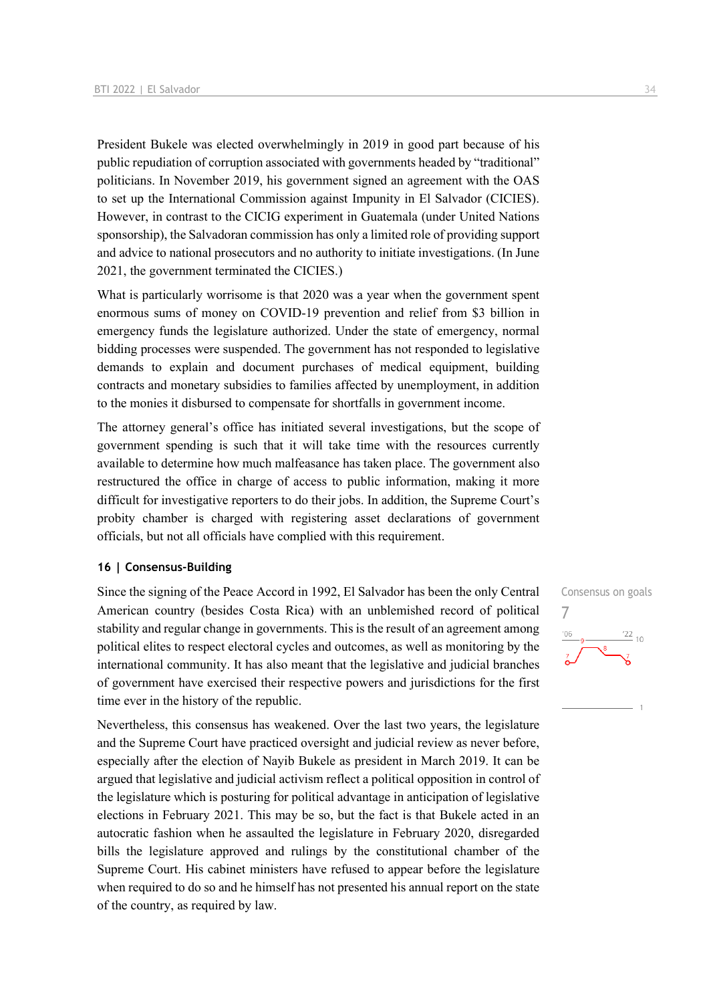President Bukele was elected overwhelmingly in 2019 in good part because of his public repudiation of corruption associated with governments headed by "traditional" politicians. In November 2019, his government signed an agreement with the OAS to set up the International Commission against Impunity in El Salvador (CICIES). However, in contrast to the CICIG experiment in Guatemala (under United Nations sponsorship), the Salvadoran commission has only a limited role of providing support and advice to national prosecutors and no authority to initiate investigations. (In June 2021, the government terminated the CICIES.)

What is particularly worrisome is that 2020 was a year when the government spent enormous sums of money on COVID-19 prevention and relief from \$3 billion in emergency funds the legislature authorized. Under the state of emergency, normal bidding processes were suspended. The government has not responded to legislative demands to explain and document purchases of medical equipment, building contracts and monetary subsidies to families affected by unemployment, in addition to the monies it disbursed to compensate for shortfalls in government income.

The attorney general's office has initiated several investigations, but the scope of government spending is such that it will take time with the resources currently available to determine how much malfeasance has taken place. The government also restructured the office in charge of access to public information, making it more difficult for investigative reporters to do their jobs. In addition, the Supreme Court's probity chamber is charged with registering asset declarations of government officials, but not all officials have complied with this requirement.

#### **16 | Consensus-Building**

Since the signing of the Peace Accord in 1992, El Salvador has been the only Central American country (besides Costa Rica) with an unblemished record of political stability and regular change in governments. This is the result of an agreement among political elites to respect electoral cycles and outcomes, as well as monitoring by the international community. It has also meant that the legislative and judicial branches of government have exercised their respective powers and jurisdictions for the first time ever in the history of the republic.

Nevertheless, this consensus has weakened. Over the last two years, the legislature and the Supreme Court have practiced oversight and judicial review as never before, especially after the election of Nayib Bukele as president in March 2019. It can be argued that legislative and judicial activism reflect a political opposition in control of the legislature which is posturing for political advantage in anticipation of legislative elections in February 2021. This may be so, but the fact is that Bukele acted in an autocratic fashion when he assaulted the legislature in February 2020, disregarded bills the legislature approved and rulings by the constitutional chamber of the Supreme Court. His cabinet ministers have refused to appear before the legislature when required to do so and he himself has not presented his annual report on the state of the country, as required by law.

Consensus on goals 7 $-06$  $\frac{22}{10}$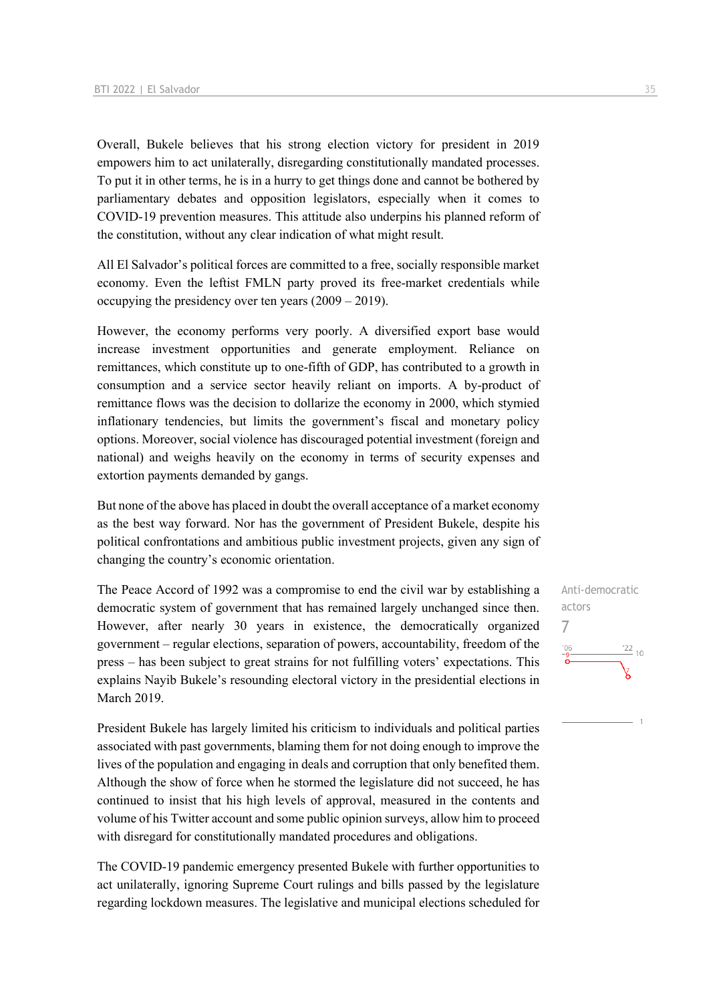Overall, Bukele believes that his strong election victory for president in 2019 empowers him to act unilaterally, disregarding constitutionally mandated processes. To put it in other terms, he is in a hurry to get things done and cannot be bothered by parliamentary debates and opposition legislators, especially when it comes to COVID-19 prevention measures. This attitude also underpins his planned reform of the constitution, without any clear indication of what might result.

All El Salvador's political forces are committed to a free, socially responsible market economy. Even the leftist FMLN party proved its free-market credentials while occupying the presidency over ten years (2009 – 2019).

However, the economy performs very poorly. A diversified export base would increase investment opportunities and generate employment. Reliance on remittances, which constitute up to one-fifth of GDP, has contributed to a growth in consumption and a service sector heavily reliant on imports. A by-product of remittance flows was the decision to dollarize the economy in 2000, which stymied inflationary tendencies, but limits the government's fiscal and monetary policy options. Moreover, social violence has discouraged potential investment (foreign and national) and weighs heavily on the economy in terms of security expenses and extortion payments demanded by gangs.

But none of the above has placed in doubt the overall acceptance of a market economy as the best way forward. Nor has the government of President Bukele, despite his political confrontations and ambitious public investment projects, given any sign of changing the country's economic orientation.

The Peace Accord of 1992 was a compromise to end the civil war by establishing a democratic system of government that has remained largely unchanged since then. However, after nearly 30 years in existence, the democratically organized government – regular elections, separation of powers, accountability, freedom of the press – has been subject to great strains for not fulfilling voters' expectations. This explains Nayib Bukele's resounding electoral victory in the presidential elections in March 2019.

President Bukele has largely limited his criticism to individuals and political parties associated with past governments, blaming them for not doing enough to improve the lives of the population and engaging in deals and corruption that only benefited them. Although the show of force when he stormed the legislature did not succeed, he has continued to insist that his high levels of approval, measured in the contents and volume of his Twitter account and some public opinion surveys, allow him to proceed with disregard for constitutionally mandated procedures and obligations.

The COVID-19 pandemic emergency presented Bukele with further opportunities to act unilaterally, ignoring Supreme Court rulings and bills passed by the legislature regarding lockdown measures. The legislative and municipal elections scheduled for Anti-democratic actors 7 $\frac{22}{10}$  $n \in \mathbb{Z}$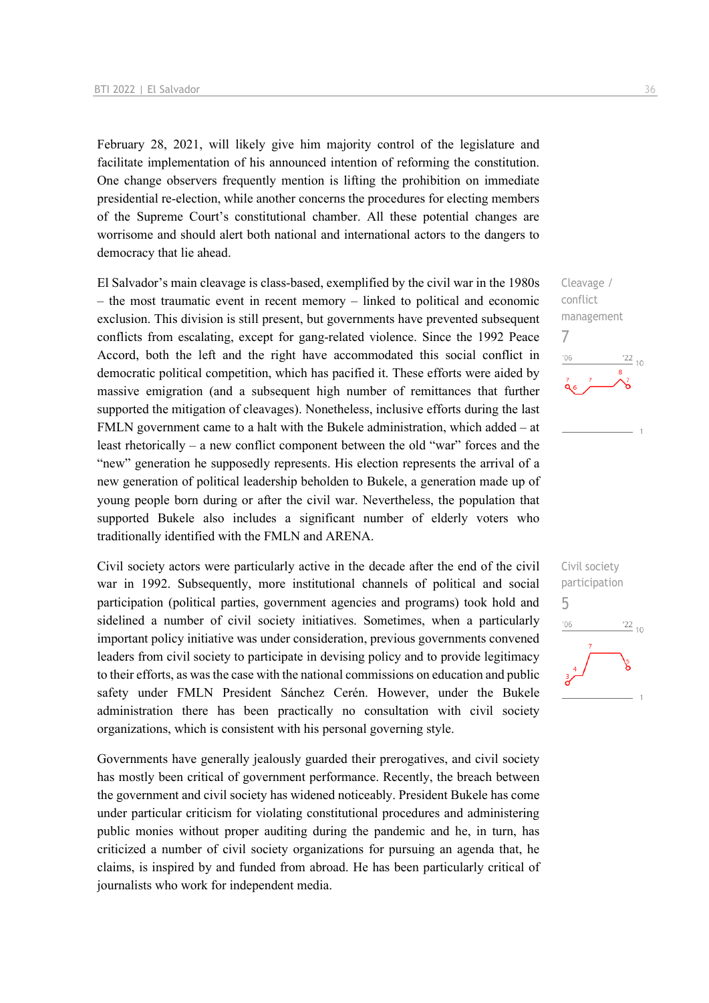February 28, 2021, will likely give him majority control of the legislature and facilitate implementation of his announced intention of reforming the constitution. One change observers frequently mention is lifting the prohibition on immediate presidential re-election, while another concerns the procedures for electing members of the Supreme Court's constitutional chamber. All these potential changes are worrisome and should alert both national and international actors to the dangers to democracy that lie ahead.

El Salvador's main cleavage is class-based, exemplified by the civil war in the 1980s – the most traumatic event in recent memory – linked to political and economic exclusion. This division is still present, but governments have prevented subsequent conflicts from escalating, except for gang-related violence. Since the 1992 Peace Accord, both the left and the right have accommodated this social conflict in democratic political competition, which has pacified it. These efforts were aided by massive emigration (and a subsequent high number of remittances that further supported the mitigation of cleavages). Nonetheless, inclusive efforts during the last FMLN government came to a halt with the Bukele administration, which added – at least rhetorically – a new conflict component between the old "war" forces and the "new" generation he supposedly represents. His election represents the arrival of a new generation of political leadership beholden to Bukele, a generation made up of young people born during or after the civil war. Nevertheless, the population that supported Bukele also includes a significant number of elderly voters who traditionally identified with the FMLN and ARENA.

Civil society actors were particularly active in the decade after the end of the civil war in 1992. Subsequently, more institutional channels of political and social participation (political parties, government agencies and programs) took hold and sidelined a number of civil society initiatives. Sometimes, when a particularly important policy initiative was under consideration, previous governments convened leaders from civil society to participate in devising policy and to provide legitimacy to their efforts, as was the case with the national commissions on education and public safety under FMLN President Sánchez Cerén. However, under the Bukele administration there has been practically no consultation with civil society organizations, which is consistent with his personal governing style.

Governments have generally jealously guarded their prerogatives, and civil society has mostly been critical of government performance. Recently, the breach between the government and civil society has widened noticeably. President Bukele has come under particular criticism for violating constitutional procedures and administering public monies without proper auditing during the pandemic and he, in turn, has criticized a number of civil society organizations for pursuing an agenda that, he claims, is inspired by and funded from abroad. He has been particularly critical of journalists who work for independent media.



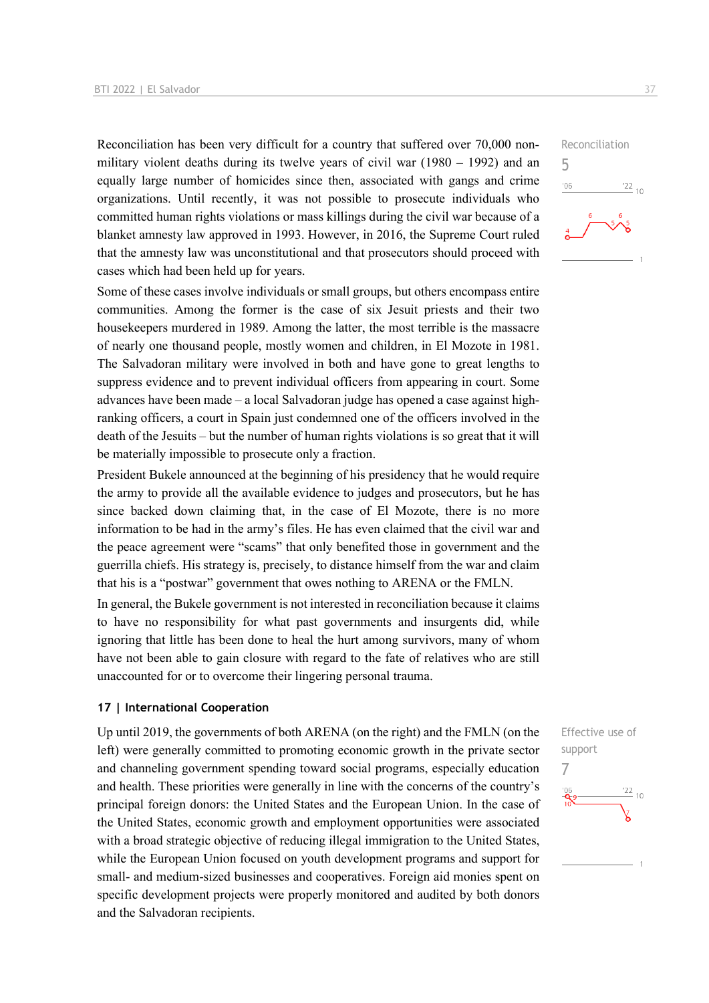Reconciliation has been very difficult for a country that suffered over 70,000 nonmilitary violent deaths during its twelve years of civil war (1980 – 1992) and an equally large number of homicides since then, associated with gangs and crime organizations. Until recently, it was not possible to prosecute individuals who committed human rights violations or mass killings during the civil war because of a blanket amnesty law approved in 1993. However, in 2016, the Supreme Court ruled that the amnesty law was unconstitutional and that prosecutors should proceed with cases which had been held up for years.

Some of these cases involve individuals or small groups, but others encompass entire communities. Among the former is the case of six Jesuit priests and their two housekeepers murdered in 1989. Among the latter, the most terrible is the massacre of nearly one thousand people, mostly women and children, in El Mozote in 1981. The Salvadoran military were involved in both and have gone to great lengths to suppress evidence and to prevent individual officers from appearing in court. Some advances have been made – a local Salvadoran judge has opened a case against highranking officers, a court in Spain just condemned one of the officers involved in the death of the Jesuits – but the number of human rights violations is so great that it will be materially impossible to prosecute only a fraction.

President Bukele announced at the beginning of his presidency that he would require the army to provide all the available evidence to judges and prosecutors, but he has since backed down claiming that, in the case of El Mozote, there is no more information to be had in the army's files. He has even claimed that the civil war and the peace agreement were "scams" that only benefited those in government and the guerrilla chiefs. His strategy is, precisely, to distance himself from the war and claim that his is a "postwar" government that owes nothing to ARENA or the FMLN.

In general, the Bukele government is not interested in reconciliation because it claims to have no responsibility for what past governments and insurgents did, while ignoring that little has been done to heal the hurt among survivors, many of whom have not been able to gain closure with regard to the fate of relatives who are still unaccounted for or to overcome their lingering personal trauma.

#### **17 | International Cooperation**

Up until 2019, the governments of both ARENA (on the right) and the FMLN (on the left) were generally committed to promoting economic growth in the private sector and channeling government spending toward social programs, especially education and health. These priorities were generally in line with the concerns of the country's principal foreign donors: the United States and the European Union. In the case of the United States, economic growth and employment opportunities were associated with a broad strategic objective of reducing illegal immigration to the United States, while the European Union focused on youth development programs and support for small- and medium-sized businesses and cooperatives. Foreign aid monies spent on specific development projects were properly monitored and audited by both donors and the Salvadoran recipients.



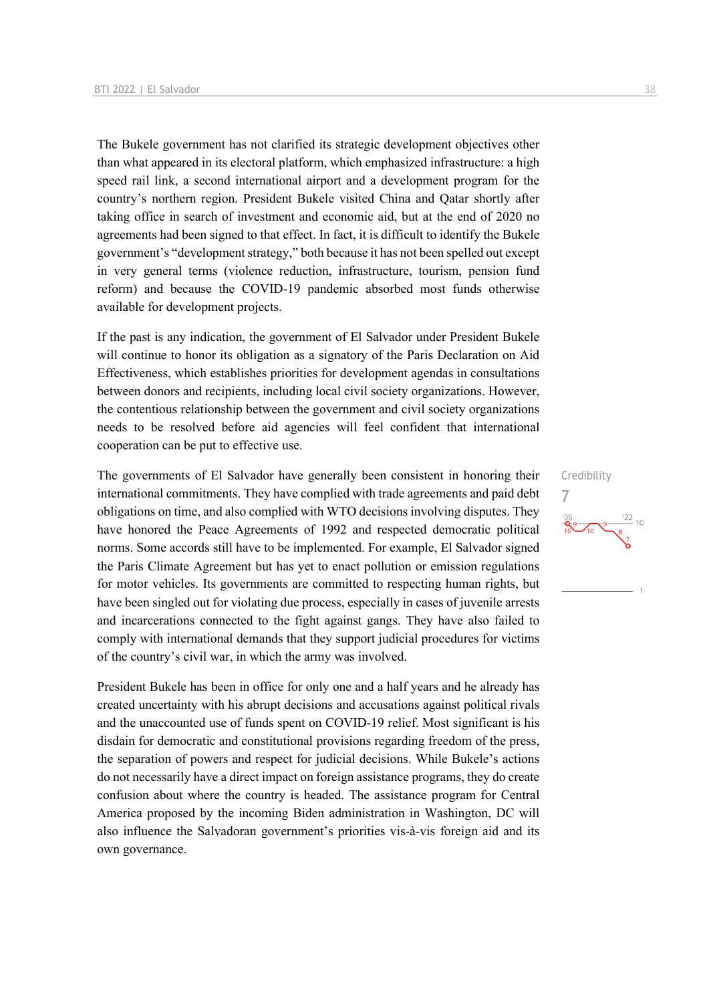The Bukele government has not clarified its strategic development objectives other than what appeared in its electoral platform, which emphasized infrastructure: a high speed rail link, a second international airport and a development program for the country's northern region. President Bukele visited China and Qatar shortly after taking office in search of investment and economic aid, but at the end of 2020 no agreements had been signed to that effect. In fact, it is difficult to identify the Bukele government's "development strategy," both because it has not been spelled out except in very general terms (violence reduction, infrastructure, tourism, pension fund reform) and because the COVID-19 pandemic absorbed most funds otherwise available for development projects.

If the past is any indication, the government of El Salvador under President Bukele will continue to honor its obligation as a signatory of the Paris Declaration on Aid Effectiveness, which establishes priorities for development agendas in consultations between donors and recipients, including local civil society organizations. However, the contentious relationship between the government and civil society organizations needs to be resolved before aid agencies will feel confident that international cooperation can be put to effective use.

The governments of El Salvador have generally been consistent in honoring their international commitments. They have complied with trade agreements and paid debt obligations on time, and also complied with WTO decisions involving disputes. They have honored the Peace Agreements of 1992 and respected democratic political norms. Some accords still have to be implemented. For example, El Salvador signed the Paris Climate Agreement but has yet to enact pollution or emission regulations for motor vehicles. Its governments are committed to respecting human rights, but have been singled out for violating due process, especially in cases of juvenile arrests and incarcerations connected to the fight against gangs. They have also failed to comply with international demands that they support judicial procedures for victims of the country's civil war, in which the army was involved.

President Bukele has been in office for only one and a half years and he already has created uncertainty with his abrupt decisions and accusations against political rivals and the unaccounted use of funds spent on COVID-19 relief. Most significant is his disdain for democratic and constitutional provisions regarding freedom of the press, the separation of powers and respect for judicial decisions. While Bukele's actions do not necessarily have a direct impact on foreign assistance programs, they do create confusion about where the country is headed. The assistance program for Central America proposed by the incoming Biden administration in Washington, DC will also influence the Salvadoran government's priorities vis-à-vis foreign aid and its own governance.

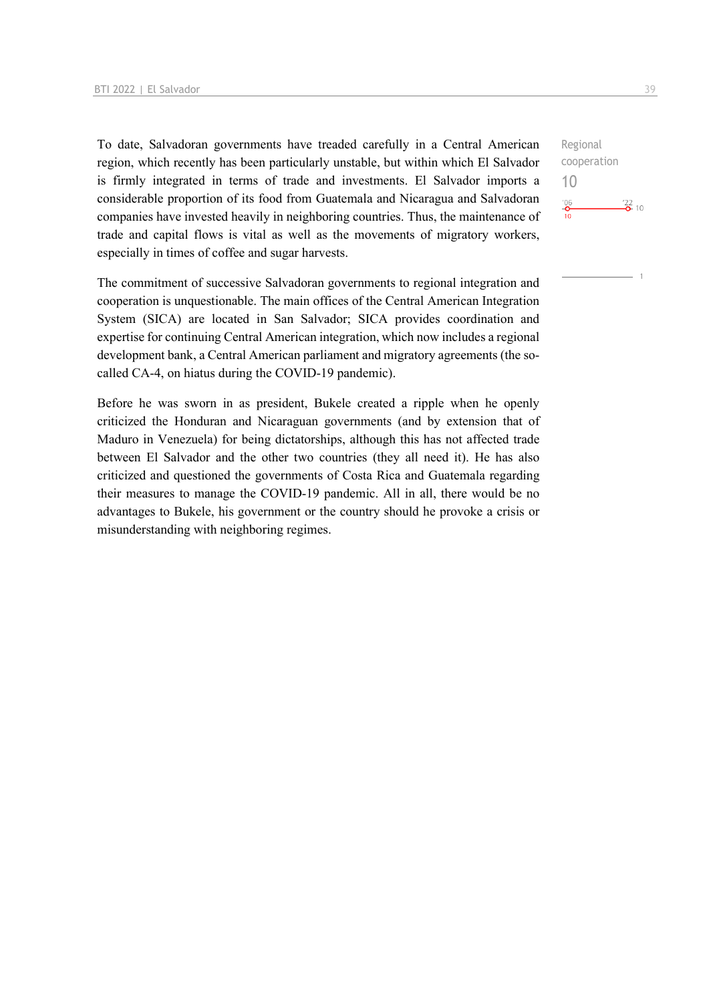To date, Salvadoran governments have treaded carefully in a Central American region, which recently has been particularly unstable, but within which El Salvador is firmly integrated in terms of trade and investments. El Salvador imports a considerable proportion of its food from Guatemala and Nicaragua and Salvadoran companies have invested heavily in neighboring countries. Thus, the maintenance of trade and capital flows is vital as well as the movements of migratory workers, especially in times of coffee and sugar harvests.

The commitment of successive Salvadoran governments to regional integration and cooperation is unquestionable. The main offices of the Central American Integration System (SICA) are located in San Salvador; SICA provides coordination and expertise for continuing Central American integration, which now includes a regional development bank, a Central American parliament and migratory agreements (the socalled CA-4, on hiatus during the COVID-19 pandemic).

Before he was sworn in as president, Bukele created a ripple when he openly criticized the Honduran and Nicaraguan governments (and by extension that of Maduro in Venezuela) for being dictatorships, although this has not affected trade between El Salvador and the other two countries (they all need it). He has also criticized and questioned the governments of Costa Rica and Guatemala regarding their measures to manage the COVID-19 pandemic. All in all, there would be no advantages to Bukele, his government or the country should he provoke a crisis or misunderstanding with neighboring regimes.

Regional cooperation 10 $rac{106}{10}$  $\frac{22}{2}$  10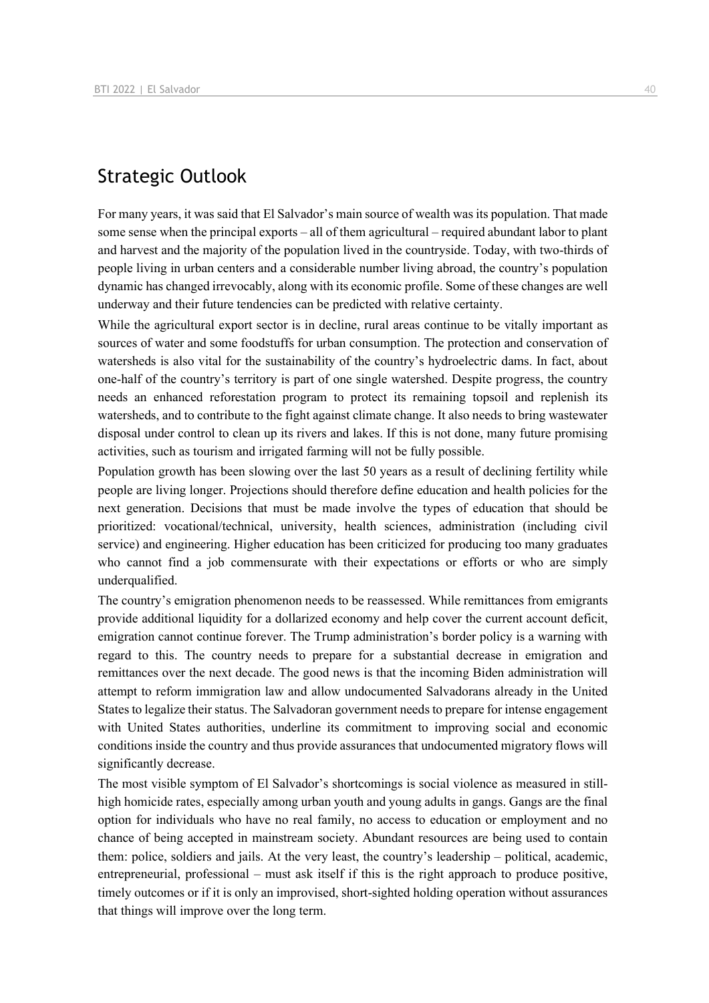## Strategic Outlook

For many years, it was said that El Salvador's main source of wealth was its population. That made some sense when the principal exports – all of them agricultural – required abundant labor to plant and harvest and the majority of the population lived in the countryside. Today, with two-thirds of people living in urban centers and a considerable number living abroad, the country's population dynamic has changed irrevocably, along with its economic profile. Some of these changes are well underway and their future tendencies can be predicted with relative certainty.

While the agricultural export sector is in decline, rural areas continue to be vitally important as sources of water and some foodstuffs for urban consumption. The protection and conservation of watersheds is also vital for the sustainability of the country's hydroelectric dams. In fact, about one-half of the country's territory is part of one single watershed. Despite progress, the country needs an enhanced reforestation program to protect its remaining topsoil and replenish its watersheds, and to contribute to the fight against climate change. It also needs to bring wastewater disposal under control to clean up its rivers and lakes. If this is not done, many future promising activities, such as tourism and irrigated farming will not be fully possible.

Population growth has been slowing over the last 50 years as a result of declining fertility while people are living longer. Projections should therefore define education and health policies for the next generation. Decisions that must be made involve the types of education that should be prioritized: vocational/technical, university, health sciences, administration (including civil service) and engineering. Higher education has been criticized for producing too many graduates who cannot find a job commensurate with their expectations or efforts or who are simply underqualified.

The country's emigration phenomenon needs to be reassessed. While remittances from emigrants provide additional liquidity for a dollarized economy and help cover the current account deficit, emigration cannot continue forever. The Trump administration's border policy is a warning with regard to this. The country needs to prepare for a substantial decrease in emigration and remittances over the next decade. The good news is that the incoming Biden administration will attempt to reform immigration law and allow undocumented Salvadorans already in the United States to legalize their status. The Salvadoran government needs to prepare for intense engagement with United States authorities, underline its commitment to improving social and economic conditions inside the country and thus provide assurances that undocumented migratory flows will significantly decrease.

The most visible symptom of El Salvador's shortcomings is social violence as measured in stillhigh homicide rates, especially among urban youth and young adults in gangs. Gangs are the final option for individuals who have no real family, no access to education or employment and no chance of being accepted in mainstream society. Abundant resources are being used to contain them: police, soldiers and jails. At the very least, the country's leadership – political, academic, entrepreneurial, professional – must ask itself if this is the right approach to produce positive, timely outcomes or if it is only an improvised, short-sighted holding operation without assurances that things will improve over the long term.